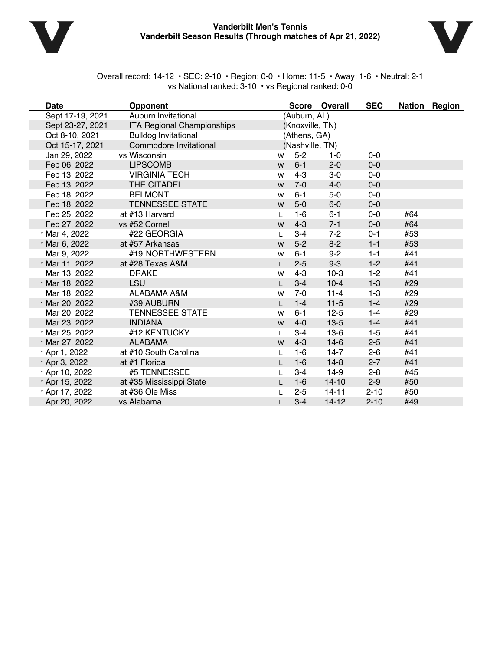

### **Vanderbilt Men's Tennis Vanderbilt Season Results (Through matches of Apr 21, 2022)**



Overall record: 14-12 • SEC: 2-10 • Region: 0-0 • Home: 11-5 • Away: 1-6 • Neutral: 2-1 vs National ranked: 3-10 • vs Regional ranked: 0-0

| <b>Date</b>      | <b>Opponent</b>                   |              |                 | Score Overall | <b>SEC</b> |     | Nation Region |
|------------------|-----------------------------------|--------------|-----------------|---------------|------------|-----|---------------|
| Sept 17-19, 2021 | Auburn Invitational               |              | (Auburn, AL)    |               |            |     |               |
| Sept 23-27, 2021 | <b>ITA Regional Championships</b> |              | (Knoxville, TN) |               |            |     |               |
| Oct 8-10, 2021   | <b>Bulldog Invitational</b>       |              | (Athens, GA)    |               |            |     |               |
| Oct 15-17, 2021  | Commodore Invitational            |              | (Nashville, TN) |               |            |     |               |
| Jan 29, 2022     | vs Wisconsin                      | W            | $5 - 2$         | 1-0           | $0-0$      |     |               |
| Feb 06, 2022     | <b>LIPSCOMB</b>                   | W            | $6 - 1$         | $2 - 0$       | $0-0$      |     |               |
| Feb 13, 2022     | <b>VIRGINIA TECH</b>              | W            | $4 - 3$         | $3-0$         | $0-0$      |     |               |
| Feb 13, 2022     | THE CITADEL                       | W            | $7-0$           | $4-0$         | $0-0$      |     |               |
| Feb 18, 2022     | <b>BELMONT</b>                    | W            | $6 - 1$         | $5-0$         | $0-0$      |     |               |
| Feb 18, 2022     | <b>TENNESSEE STATE</b>            | W            | $5-0$           | $6-0$         | $0-0$      |     |               |
| Feb 25, 2022     | at #13 Harvard                    | L            | $1 - 6$         | $6 - 1$       | $0-0$      | #64 |               |
| Feb 27, 2022     | vs #52 Cornell                    | W            | $4 - 3$         | $7 - 1$       | $0-0$      | #64 |               |
| * Mar 4, 2022    | #22 GEORGIA                       | L            | $3 - 4$         | $7 - 2$       | $0 - 1$    | #53 |               |
| * Mar 6, 2022    | at #57 Arkansas                   | W            | $5-2$           | $8 - 2$       | $1 - 1$    | #53 |               |
| Mar 9, 2022      | #19 NORTHWESTERN                  | W            | $6 - 1$         | $9 - 2$       | $1 - 1$    | #41 |               |
| * Mar 11, 2022   | at #28 Texas A&M                  | L            | $2 - 5$         | $9 - 3$       | $1 - 2$    | #41 |               |
| Mar 13, 2022     | <b>DRAKE</b>                      | W            | $4 - 3$         | $10-3$        | $1 - 2$    | #41 |               |
| * Mar 18, 2022   | <b>LSU</b>                        | $\mathsf{L}$ | $3 - 4$         | $10 - 4$      | $1-3$      | #29 |               |
| Mar 18, 2022     | ALABAMA A&M                       | W            | $7-0$           | $11 - 4$      | $1-3$      | #29 |               |
| * Mar 20, 2022   | #39 AUBURN                        | $\mathbf{L}$ | $1-4$           | $11-5$        | $1 - 4$    | #29 |               |
| Mar 20, 2022     | <b>TENNESSEE STATE</b>            | W            | $6 - 1$         | $12 - 5$      | $1 - 4$    | #29 |               |
| Mar 23, 2022     | <b>INDIANA</b>                    | W            | $4 - 0$         | $13-5$        | $1 - 4$    | #41 |               |
| * Mar 25, 2022   | #12 KENTUCKY                      | L            | $3 - 4$         | $13-6$        | $1-5$      | #41 |               |
| * Mar 27, 2022   | <b>ALABAMA</b>                    | W            | $4 - 3$         | $14-6$        | $2 - 5$    | #41 |               |
| * Apr 1, 2022    | at #10 South Carolina             | L            | $1-6$           | $14-7$        | $2 - 6$    | #41 |               |
| * Apr 3, 2022    | at #1 Florida                     |              | $1-6$           | $14-8$        | $2 - 7$    | #41 |               |
| * Apr 10, 2022   | #5 TENNESSEE                      | L            | $3 - 4$         | $14-9$        | $2 - 8$    | #45 |               |
| * Apr 15, 2022   | at #35 Mississippi State          | L            | $1-6$           | $14 - 10$     | $2 - 9$    | #50 |               |
| * Apr 17, 2022   | at #36 Ole Miss                   |              | $2 - 5$         | $14 - 11$     | $2 - 10$   | #50 |               |
| Apr 20, 2022     | vs Alabama                        | L.           | $3-4$           | $14 - 12$     | $2 - 10$   | #49 |               |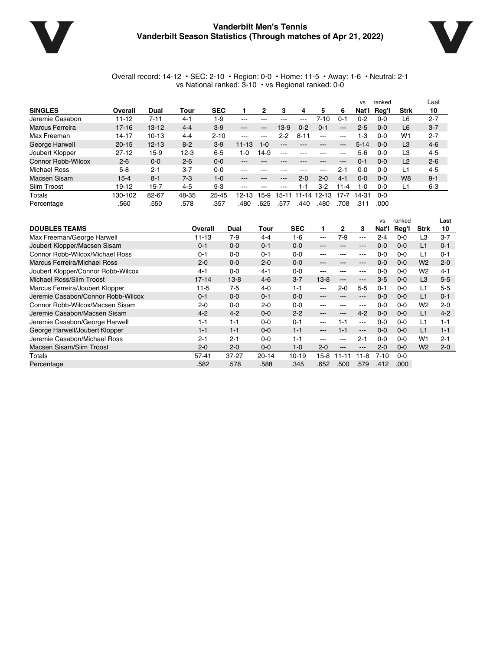

### **Vanderbilt Men's Tennis Vanderbilt Season Statistics (Through matches of Apr 21, 2022)**



#### Overall record: 14-12 • SEC: 2-10 • Region: 0-0 • Home: 11-5 • Away: 1-6 • Neutral: 2-1 vs National ranked: 3-10 • vs Regional ranked: 0-0

|                        |           |           |         |            |                   |               |          |          |                        |          | <b>VS</b> | ranked  |                | Last    |
|------------------------|-----------|-----------|---------|------------|-------------------|---------------|----------|----------|------------------------|----------|-----------|---------|----------------|---------|
| <b>SINGLES</b>         | Overall   | Dual      | Tour    | <b>SEC</b> |                   | 2             | з        | 4        | 5                      | 6        | Nat'l     | Rea'l   | <b>Strk</b>    | 10      |
| Jeremie Casabon        | $11 - 12$ | 7-11      | $4 - 1$ | 1-9        | $- - -$           |               |          |          | 7-10                   | $0 - 7$  | 0-2       | $0 - 0$ | L6             | $2 - 7$ |
| <b>Marcus Ferreira</b> | $17 - 16$ | $13 - 12$ | $4 - 4$ | $3-9$      | $\qquad \qquad -$ | $\cdots$      | 13-9     | $0 - 2$  | $0 - 1$                | $- - -$  | $2 - 5$   | $0 - 0$ | L <sub>6</sub> | $3 - 7$ |
| Max Freeman            | $14 - 17$ | $10 - 13$ | $4 - 4$ | $2 - 10$   | $\frac{1}{2}$     | $\frac{1}{2}$ | $2 - 2$  | $8 - 11$ | $-$ – $-$              | $- - -$  | 1-3       | $0 - 0$ | W1             | $2 - 7$ |
| George Harwell         | $20 - 15$ | $12 - 13$ | $8 - 2$ | $3-9$      | $11 - 13$         | $1 - 0$       | $\cdots$ | $- - -$  | $\qquad \qquad \cdots$ | $\cdots$ | $5 - 14$  | $0 - 0$ | L <sub>3</sub> | $4-6$   |
| Joubert Klopper        | $27 - 12$ | $15-9$    | $12-3$  | $6-5$      | $1 - 0$           | $14-9$        | $- - -$  |          | ---                    | $- - -$  | $5-6$     | 0-0     | L3             | $4 - 5$ |
| Connor Robb-Wilcox     | $2 - 6$   | $0 - 0$   | $2 - 6$ | $0 - 0$    | $- - -$           |               |          |          | ---                    | $\cdots$ | 0-1       | $0 - 0$ | L2             | $2 - 6$ |
| <b>Michael Ross</b>    | $5 - 8$   | $2 - 1$   | $3 - 7$ | $0 - 0$    | $- - -$           |               |          |          | ---                    | $2 - 1$  | 0-0       | $0 - 0$ | Ĺ1             | $4 - 5$ |
| Macsen Sisam           | $15 - 4$  | $8 - 1$   | $7-3$   | $1 - 0$    | $- - -$           |               | ---      | $2 - 0$  | $2 - 0$                | $4 - 1$  | $0 - 0$   | $0 - 0$ | W <sub>8</sub> | $9 - 1$ |
| Siim Troost            | $19 - 12$ | $15 - 7$  | $4-5$   | $9-3$      | $- - -$           | $- - -$       | ---      | 1-1      | 3-2                    | $11 - 4$ | $1-0$     | $0 - 0$ | L1             | $6 - 3$ |
| Totals                 | 130-102   | 82-67     | 48-35   | $25 - 45$  | 12-13             | 5-9           | 15-1     | 11-14    | $12 - 13$              | 17-7     | 14-31     | $0 - 0$ |                |         |
| Percentage             | 560       | 550       | .578    | .357       | .480              | .625          | 577      | .440     | .480                   | 708      | .311      | .000    |                |         |

|                                     |           |           |           |            |          |         |                                                                                                | <b>VS</b> | ranked  |                | Last    |
|-------------------------------------|-----------|-----------|-----------|------------|----------|---------|------------------------------------------------------------------------------------------------|-----------|---------|----------------|---------|
| <b>DOUBLES TEAMS</b>                | Overall   | Dual      | Tour      | <b>SEC</b> |          | 2       | 3                                                                                              | Nat'l     | Reg'l   | <b>Strk</b>    | 10      |
| Max Freeman/George Harwell          | $11 - 13$ | $7-9$     | $4 - 4$   | 1-6        | ---      | 7-9     | $\frac{1}{2}$                                                                                  | $2 - 4$   | $0 - 0$ | L3             | $3 - 7$ |
| Joubert Klopper/Macsen Sisam        | $0 - 1$   | $0 - 0$   | $0 - 1$   | $0 - 0$    | ---      | ---     | $---$                                                                                          | $0 - 0$   | $0 - 0$ | L1             | $0 - 1$ |
| Connor Robb-Wilcox/Michael Ross     | $0 - 1$   | $0 - 0$   | $0 - 1$   | $0 - 0$    | ---      |         | $- - -$                                                                                        | $0 - 0$   | $0 - 0$ | L1             | $0 - 1$ |
| <b>Marcus Ferreira/Michael Ross</b> | $2 - 0$   | $0 - 0$   | $2 - 0$   | $0 - 0$    | ---      |         | $\qquad \qquad \cdots$                                                                         | $0 - 0$   | $0 - 0$ | W <sub>2</sub> | $2 - 0$ |
| Joubert Klopper/Connor Robb-Wilcox  | $4 - 1$   | $0 - 0$   | $4 - 1$   | $0 - 0$    | ---      | ---     | $--$                                                                                           | $0 - 0$   | $0 - 0$ | W <sub>2</sub> | $4 - 1$ |
| Michael Ross/Siim Troost            | $17 - 14$ | $13 - 8$  | $4 - 6$   | $3 - 7$    | $13 - 8$ | $---$   | $\qquad \qquad -$                                                                              | $3-5$     | $0-0$   | L <sub>3</sub> | $5-5$   |
| Marcus Ferreira/Joubert Klopper     | $11 - 5$  | $7-5$     | $4 - 0$   | $1 - 1$    | ---      | $2 - 0$ | $5-5$                                                                                          | $0 - 1$   | $0 - 0$ | L1             | $5-5$   |
| Jeremie Casabon/Connor Robb-Wilcox  | $0 - 1$   | $0 - 0$   | $0 - 1$   | $0 - 0$    | ---      | ---     | $---$                                                                                          | $0 - 0$   | $0 - 0$ | L1             | $0 - 1$ |
| Connor Robb-Wilcox/Macsen Sisam     | $2 - 0$   | $0 - 0$   | $2 - 0$   | $0 - 0$    | ---      | $- - -$ | $\frac{1}{2} \left( \frac{1}{2} \right) \left( \frac{1}{2} \right) \left( \frac{1}{2} \right)$ | $0 - 0$   | $0 - 0$ | W <sub>2</sub> | $2 - 0$ |
| Jeremie Casabon/Macsen Sisam        | $4 - 2$   | $4 - 2$   | $0 - 0$   | $2 - 2$    | ---      | $- - -$ | $4 - 2$                                                                                        | $0 - 0$   | $0 - 0$ | L1             | $4 - 2$ |
| Jeremie Casabon/George Harwell      | $1 - 1$   | $1 - 1$   | $0 - 0$   | $0 - 1$    | ---      | 1-1     | $---$                                                                                          | $0 - 0$   | $0 - 0$ | L1             | $1 - 1$ |
| George Harwell/Joubert Klopper      | $1 - 1$   | $1 - 1$   | $0 - 0$   | $1 - 1$    | ---      | $1 - 1$ | $\qquad \qquad -$                                                                              | $0 - 0$   | $0 - 0$ | L1             | $1 - 1$ |
| Jeremie Casabon/Michael Ross        | $2 - 1$   | $2 - 1$   | $0 - 0$   | $1 - 1$    | ---      | $- - -$ | $2 - 1$                                                                                        | $0 - 0$   | $0 - 0$ | W1             | $2 - 1$ |
| Macsen Sisam/Siim Troost            | $2 - 0$   | $2 - 0$   | $0 - 0$   | $1 - 0$    | $2 - 0$  | $- - -$ | $\qquad \qquad -$                                                                              | $2 - 0$   | $0 - 0$ | W <sub>2</sub> | $2 - 0$ |
| Totals                              | $57 - 41$ | $37 - 27$ | $20 - 14$ | $10 - 19$  | 15-8     | -1      | $11 - 8$                                                                                       | $7 - 10$  | $0 - 0$ |                |         |
| Percentage                          | .582      | .578      | .588      | .345       | .652     | .500    | .579                                                                                           | .412      | .000    |                |         |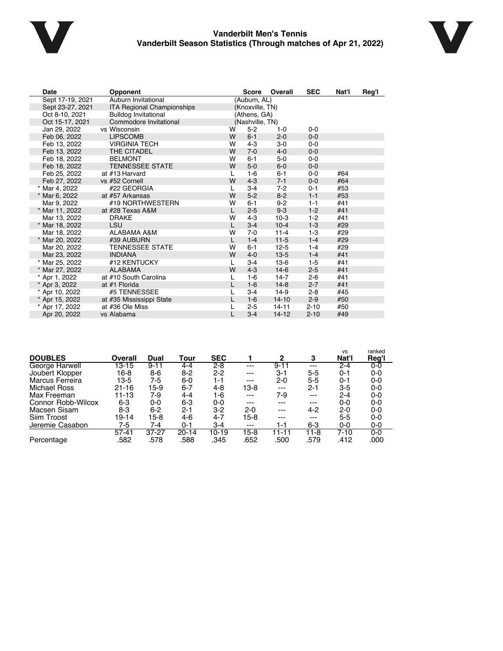

### **Vanderbilt Men's Tennis Vanderbilt Season Statistics (Through matches of Apr 21, 2022)**



| <b>Date</b>      | Opponent                          |              | <b>Score</b>    | Overall   | <b>SEC</b> | Nat'l | Reg'l |
|------------------|-----------------------------------|--------------|-----------------|-----------|------------|-------|-------|
| Sept 17-19, 2021 | Auburn Invitational               |              | (Auburn, AL)    |           |            |       |       |
| Sept 23-27, 2021 | <b>ITA Regional Championships</b> |              | (Knoxville, TN) |           |            |       |       |
| Oct 8-10, 2021   | <b>Bulldog Invitational</b>       |              | (Athens, GA)    |           |            |       |       |
| Oct 15-17, 2021  | Commodore Invitational            |              | (Nashville, TN) |           |            |       |       |
| Jan 29, 2022     | vs Wisconsin                      | w            | $5-2$           | $1 - 0$   | $0 - 0$    |       |       |
| Feb 06, 2022     | <b>LIPSCOMB</b>                   | W            | $6 - 1$         | $2 - 0$   | $0 - 0$    |       |       |
| Feb 13, 2022     | <b>VIRGINIA TECH</b>              | w            | $4 - 3$         | $3-0$     | $0-0$      |       |       |
| Feb 13, 2022     | THE CITADEL                       | W            | $7-0$           | $4 - 0$   | $0 - 0$    |       |       |
| Feb 18, 2022     | <b>BELMONT</b>                    | w            | $6 - 1$         | 5-0       | $0 - 0$    |       |       |
| Feb 18, 2022     | <b>TENNESSEE STATE</b>            | W            | $5-0$           | $6-0$     | $0 - 0$    |       |       |
| Feb 25, 2022     | at #13 Harvard                    | L            | $1-6$           | $6 - 1$   | $0 - 0$    | #64   |       |
| Feb 27, 2022     | vs #52 Cornell                    | W            | $4 - 3$         | $7 - 1$   | $0 - 0$    | #64   |       |
| * Mar 4, 2022    | #22 GEORGIA                       | L            | $3 - 4$         | $7-2$     | $0 - 1$    | #53   |       |
| * Mar 6, 2022    | at #57 Arkansas                   | W            | $5 - 2$         | $8 - 2$   | $1 - 1$    | #53   |       |
| Mar 9, 2022      | #19 NORTHWESTERN                  | w            | $6 - 1$         | $9 - 2$   | $1 - 1$    | #41   |       |
| * Mar 11, 2022   | at #28 Texas A&M                  | L            | $2 - 5$         | $9-3$     | $1 - 2$    | #41   |       |
| Mar 13, 2022     | <b>DRAKE</b>                      | W            | $4 - 3$         | $10-3$    | $1-2$      | #41   |       |
| * Mar 18, 2022   | <b>LSU</b>                        | $\mathbf{I}$ | $3 - 4$         | $10 - 4$  | $1-3$      | #29   |       |
| Mar 18, 2022     | <b>ALABAMA A&amp;M</b>            | W            | $7-0$           | $11 - 4$  | $1-3$      | #29   |       |
| * Mar 20, 2022   | #39 AUBURN                        | L.           | $1 - 4$         | $11 - 5$  | $1 - 4$    | #29   |       |
| Mar 20, 2022     | <b>TENNESSEE STATE</b>            | w            | $6 - 1$         | $12 - 5$  | $1 - 4$    | #29   |       |
| Mar 23, 2022     | <b>INDIANA</b>                    | W            | $4 - 0$         | $13-5$    | $1 - 4$    | #41   |       |
| * Mar 25, 2022   | #12 KENTUCKY                      |              | $3 - 4$         | $13-6$    | $1-5$      | #41   |       |
| * Mar 27, 2022   | <b>ALABAMA</b>                    | W            | $4 - 3$         | $14-6$    | $2 - 5$    | #41   |       |
| * Apr 1, 2022    | at #10 South Carolina             | L            | $1 - 6$         | $14 - 7$  | $2 - 6$    | #41   |       |
| * Apr 3, 2022    | at #1 Florida                     | L            | $1-6$           | $14 - 8$  | $2 - 7$    | #41   |       |
| * Apr 10, 2022   | #5 TENNESSEE                      |              | $3 - 4$         | $14-9$    | $2 - 8$    | #45   |       |
| * Apr 15, 2022   | at #35 Mississippi State          | L            | $1-6$           | $14 - 10$ | $2 - 9$    | #50   |       |
| * Apr 17, 2022   | at #36 Ole Miss                   |              | $2-5$           | $14 - 11$ | $2 - 10$   | #50   |       |
| Apr 20, 2022     | vs Alabama                        |              | $3 - 4$         | $14 - 12$ | $2 - 10$   | #49   |       |

|                     |           |           |           |            |         |              |         | <b>VS</b> | ranked  |
|---------------------|-----------|-----------|-----------|------------|---------|--------------|---------|-----------|---------|
| <b>DOUBLES</b>      | Overall   | Dual      | Tour      | <b>SEC</b> |         | $\mathbf{2}$ | 3       | Nat'l     | Reg'l   |
| George Harwell      | $13 - 15$ | $9 - 11$  | 4-4       | $2 - 8$    | $---$   | $9 - 11$     | $---$   | $2 - 4$   | $0-0$   |
| Joubert Klopper     | 16-8      | 8-6       | $8 - 2$   | $2 - 2$    | $---$   | $3 - 1$      | 5-5     | $0 - 1$   | $0-0$   |
| Marcus Ferreira     | 13-5      | 7-5       | 6-0       | $1 - 1$    | ---     | $2 - 0$      | $5 - 5$ | $0 - 1$   | 0-0     |
| <b>Michael Ross</b> | $21 - 16$ | 15-9      | $6 - 7$   | 4-8        | 13-8    | $---$        | $2 - 1$ | 3-5       | 0-0     |
| Max Freeman         | 11-13     | 7-9       | $4 - 4$   | 1-6        | ---     | 7-9          | $--$    | $2 - 4$   | 0-0     |
| Connor Robb-Wilcox  | 6-3       | 0-0       | 6-3       | $0 - 0$    | ---     | ---          | ---     | $0 - 0$   | $0-0$   |
| Macsen Sisam        | 8-3       | $6 - 2$   | 2-1       | $3-2$      | $2 - 0$ | $---$        | $4 - 2$ | $2 - 0$   | $0-0$   |
| Siim Troost         | 19-14     | 15-8      | 4-6       | $4 - 7$    | 15-8    | ---          | $--$    | $5 - 5$   | $0-0$   |
| Jeremie Casabon     | 7-5       | 7-4       | 0-1       | $3 - 4$    | ---     | 1-1          | 6-3     | 0-0       | 0-0     |
|                     | $57 - 41$ | $37 - 27$ | $20 - 14$ | 10-19      | $15-8$  | 11-11        | 11-8    | 7-10      | $0 - 0$ |
| Percentage          | 582       | .578      | .588      | .345       | .652    | .500         | .579    | .412      | .000    |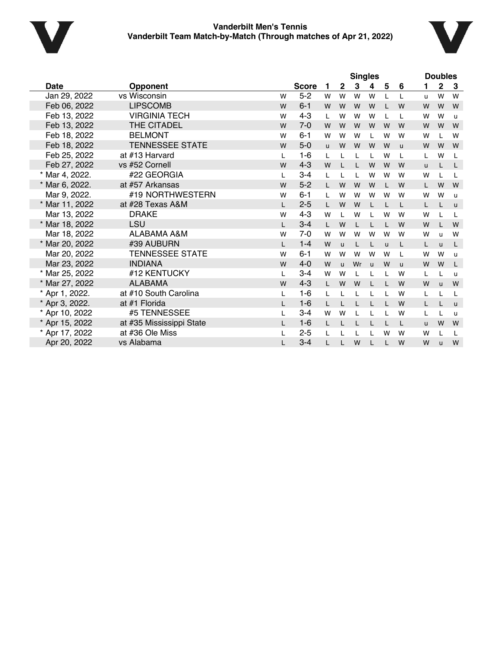



|                |                          |              |              |   |              | <b>Singles</b> |              |              |              |   | <b>Doubles</b> |              |
|----------------|--------------------------|--------------|--------------|---|--------------|----------------|--------------|--------------|--------------|---|----------------|--------------|
| <b>Date</b>    | <b>Opponent</b>          |              | <b>Score</b> | 1 | $\mathbf{2}$ | 3              | 4            | 5            | 6            | 1 | $\mathbf 2$    | 3            |
| Jan 29, 2022   | vs Wisconsin             | W            | $5-2$        | W | W            | W              | W            | $\mathbf{I}$ |              | u | W              | W            |
| Feb 06, 2022   | <b>LIPSCOMB</b>          | W            | $6 - 1$      | W | W            | W              | W            |              | W            | W | W              | W            |
| Feb 13, 2022   | <b>VIRGINIA TECH</b>     | W            | $4 - 3$      | L | W            | W              | W            | L            | L            | W | W              | $\mathsf{u}$ |
| Feb 13, 2022   | THE CITADEL              | W            | $7 - 0$      | W | W            | W              | W            | W            | W            | W | W              | W            |
| Feb 18, 2022   | <b>BELMONT</b>           | W            | $6 - 1$      | W | W            | W              |              | W            | W            | W |                | W            |
| Feb 18, 2022   | <b>TENNESSEE STATE</b>   | W            | $5-0$        | u | W            | W              | W            | W            | u            | W | W              | W            |
| Feb 25, 2022   | at #13 Harvard           | L            | $1 - 6$      | L |              | L              | L            | W            | L            | L | W              | L            |
| Feb 27, 2022   | vs #52 Cornell           | W            | $4 - 3$      | W |              | L              | W            | W            | W            | u |                | L            |
| * Mar 4, 2022. | #22 GEORGIA              | L            | $3 - 4$      | L |              | L              | W            | W            | W            | W |                | L            |
| * Mar 6, 2022. | at #57 Arkansas          | W            | $5 - 2$      | L | W            | W              | W            | L            | W            | L | W              | W            |
| Mar 9, 2022.   | #19 NORTHWESTERN         | W            | $6 - 1$      | L | W            | W              | W            | W            | W            | W | W              | $\mathsf{u}$ |
| * Mar 11, 2022 | at #28 Texas A&M         | $\mathsf{L}$ | $2 - 5$      | L | W            | W              |              | $\mathbf{I}$ | L            | L |                | $\mathsf{u}$ |
| Mar 13, 2022   | <b>DRAKE</b>             | W            | $4 - 3$      | W |              | W              |              | W            | W            | W |                | L            |
| * Mar 18, 2022 | LSU                      | L            | $3 - 4$      | L | W            | L              |              | $\mathbf{L}$ | W            | W |                | W            |
| Mar 18, 2022   | ALABAMA A&M              | W            | $7 - 0$      | W | W            | W              | W            | W            | W            | W | u              | W            |
| * Mar 20, 2022 | #39 AUBURN               | L.           | $1 - 4$      | W | u            | L              |              | $\mathbf{u}$ | L            | L | $\mathbf{u}$   | L            |
| Mar 20, 2022   | <b>TENNESSEE STATE</b>   | W            | $6 - 1$      | W | W            | W              | W            | W            | L            | W | W              | $\mathsf{u}$ |
| Mar 23, 2022   | <b>INDIANA</b>           | W            | $4 - 0$      | W | u.           | Wr             | $\mathbf{u}$ | W            | $\mathbf{u}$ | W | W              | L            |
| * Mar 25, 2022 | #12 KENTUCKY             | L            | $3 - 4$      | W | W            | L              |              |              | W            | L |                | $\mathsf{u}$ |
| * Mar 27, 2022 | <b>ALABAMA</b>           | W            | $4 - 3$      | L | W            | W              |              |              | W            | W | u              | W            |
| * Apr 1, 2022. | at #10 South Carolina    | L            | $1-6$        | L |              |                |              |              | W            | L |                | L            |
| * Apr 3, 2022. | at #1 Florida            | L.           | $1-6$        | L |              |                |              |              | W            | L |                | $\mathsf{u}$ |
| * Apr 10, 2022 | #5 TENNESSEE             |              | $3 - 4$      | W | W            | L              |              |              | W            | L |                | u            |
| * Apr 15, 2022 | at #35 Mississippi State | L.           | $1 - 6$      | L |              |                |              |              | L            | u | W              | W            |
| * Apr 17, 2022 | at #36 Ole Miss          | L            | $2 - 5$      | L |              |                |              | W            | W            | W |                | L            |
| Apr 20, 2022   | vs Alabama               | L            | $3 - 4$      |   |              | W              |              | L            | W            | W | $\mathbf{u}$   | W            |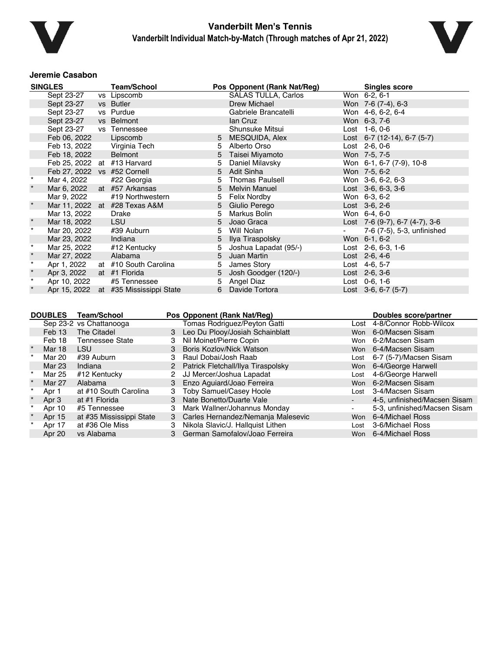



#### **Jeremie Casabon**

|         | <b>SINGLES</b>          |                    | <b>Team/School</b>                    |                |                          | Pos Opponent (Rank Nat/Reg)        |                 |      | <b>Singles score</b>           |
|---------|-------------------------|--------------------|---------------------------------------|----------------|--------------------------|------------------------------------|-----------------|------|--------------------------------|
|         | Sept 23-27              |                    | vs Lipscomb                           |                |                          | <b>SALAS TULLA, Carlos</b>         | Won 6-2, 6-1    |      |                                |
|         | Sept 23-27              |                    | vs Butler                             |                |                          | Drew Michael                       |                 |      | Won 7-6 (7-4), 6-3             |
|         | Sept 23-27              |                    | vs Purdue                             |                |                          | Gabriele Brancatelli               |                 |      | Won 4-6, 6-2, 6-4              |
|         | Sept 23-27              |                    | vs Belmont                            |                |                          | lan Cruz                           | Won 6-3, 7-6    |      |                                |
|         | Sept 23-27              |                    | vs Tennessee                          |                |                          | Shunsuke Mitsui                    | Lost 1-6, 0-6   |      |                                |
|         | Feb 06, 2022            |                    | Lipscomb                              |                | 5                        | MESQUIDA, Alex                     |                 |      | Lost 6-7 (12-14), 6-7 (5-7)    |
|         | Feb 13, 2022            |                    | Virginia Tech                         |                | 5                        | Alberto Orso                       | Lost 2-6, 0-6   |      |                                |
|         | Feb 18, 2022            |                    | Belmont                               |                | 5                        | Taisei Miyamoto                    | Won 7-5, 7-5    |      |                                |
|         |                         |                    | Feb 25, 2022 at #13 Harvard           |                | 5                        | Daniel Milavsky                    |                 |      | Won 6-1, 6-7 (7-9), 10-8       |
|         |                         |                    | Feb 27, 2022 vs #52 Cornell           |                | 5                        | Adit Sinha                         | Won 7-5, 6-2    |      |                                |
| $\star$ | Mar 4, 2022             |                    | #22 Georgia                           |                | 5                        | <b>Thomas Paulsell</b>             |                 |      | Won 3-6, 6-2, 6-3              |
|         | Mar 6, 2022             |                    | at #57 Arkansas                       |                | 5                        | <b>Melvin Manuel</b>               |                 |      | Lost 3-6, 6-3, 3-6             |
|         | Mar 9, 2022             |                    | #19 Northwestern                      |                | 5                        | Felix Nordby                       | Won 6-3, 6-2    |      |                                |
|         |                         |                    | Mar 11, 2022 at #28 Texas A&M         |                | 5                        | Giulio Perego                      | Lost 3-6, 2-6   |      |                                |
|         | Mar 13, 2022            |                    | <b>Drake</b>                          |                | 5                        | Markus Bolin                       | Won 6-4, 6-0    |      |                                |
|         | Mar 18, 2022            |                    | LSU                                   |                | 5                        | Joao Graca                         |                 |      | Lost 7-6 (9-7), 6-7 (4-7), 3-6 |
| $\star$ | Mar 20, 2022            |                    | #39 Auburn                            |                | 5                        | Will Nolan                         |                 |      | 7-6 (7-5), 5-3, unfinished     |
|         | Mar 23, 2022            |                    | Indiana                               |                | 5                        | Ilya Tiraspolsky                   | Won 6-1, 6-2    |      |                                |
| $\star$ | Mar 25, 2022            |                    | #12 Kentucky                          |                | 5                        | Joshua Lapadat (95/-)              |                 |      | Lost 2-6, 6-3, 1-6             |
| $\star$ | Mar 27, 2022            |                    | Alabama                               |                | 5                        | Juan Martin                        | Lost 2-6, 4-6   |      |                                |
| $\star$ | Apr 1, 2022             |                    | at #10 South Carolina                 |                | 5                        | James Story                        | Lost 4-6, 5-7   |      |                                |
|         | Apr 3, 2022             |                    | at #1 Florida                         |                | 5                        | Josh Goodger (120/-)               | Lost $2-6, 3-6$ |      |                                |
| $\star$ | Apr 10, 2022            |                    | #5 Tennessee                          |                | 5                        | Angel Diaz                         | Lost 0-6, 1-6   |      |                                |
|         |                         |                    | Apr 15, 2022 at #35 Mississippi State |                | 6                        | Davide Tortora                     |                 |      | Lost 3-6, 6-7 (5-7)            |
|         | <b>DOUBLES</b>          | <b>Team/School</b> |                                       |                |                          | Pos Opponent (Rank Nat/Reg)        |                 |      | Doubles score/partner          |
|         | Sep 23-2 vs Chattanooga |                    |                                       |                |                          | Tomas Rodriguez/Peyton Gatti       |                 |      | Lost 4-8/Connor Robb-Wilcox    |
|         | Feb 13                  | The Citadel        |                                       |                |                          | 3 Leo Du Plooy/Josiah Schainblatt  |                 |      | Won 6-0/Macsen Sisam           |
|         | Feb 18                  |                    | <b>Tennessee State</b>                | 3              | Nil Moinet/Pierre Copin  |                                    |                 |      | Won 6-2/Macsen Sisam           |
|         | Mar 18                  | <b>LSU</b>         |                                       | 3              |                          | Boris Kozlov/Nick Watson           |                 |      | Won 6-4/Macsen Sisam           |
|         | Mar 20                  | #39 Auburn         |                                       | 3              | Raul Dobai/Josh Raab     |                                    | Lost            |      | 6-7 (5-7)/Macsen Sisam         |
|         | <b>Mar 23</b>           | Indiana            |                                       | $\overline{2}$ |                          | Patrick Fletchall/Ilya Tiraspolsky |                 | Won  | 6-4/George Harwell             |
|         | <b>Mar 25</b>           | #12 Kentucky       |                                       | $\overline{2}$ |                          | JJ Mercer/Joshua Lapadat           | Lost            |      | 4-6/George Harwell             |
|         | Mar 27                  | Alabama            |                                       | 3              |                          | Enzo Aguiard/Joao Ferreira         |                 |      | Won 6-2/Macsen Sisam           |
|         | Apr 1                   |                    | at #10 South Carolina                 | 3              |                          | <b>Toby Samuel/Casey Hoole</b>     |                 | Lost | 3-4/Macsen Sisam               |
| $\star$ | Apr 3                   | at #1 Florida      |                                       | 3              | Nate Bonetto/Duarte Vale |                                    | $\sim$          |      | 4-5, unfinished/Macsen Sisam   |
|         | Apr 10                  | #5 Tennessee       |                                       | 3              |                          | Mark Wallner/Johannus Monday       | $\blacksquare$  |      | 5-3, unfinished/Macsen Sisam   |
|         | Apr 15                  |                    | at #35 Mississippi State              | 3              |                          | Carles Hernandez/Nemanja Malesevic |                 | Won  | 6-4/Michael Ross               |
|         | Apr 17                  |                    | at #36 Ole Miss                       | 3              |                          | Nikola Slavic/J. Hallquist Lithen  | Lost            |      | 3-6/Michael Ross               |

Apr 20 vs Alabama 3 German Samofalov/Joao Ferreira Won 6-4/Michael Ross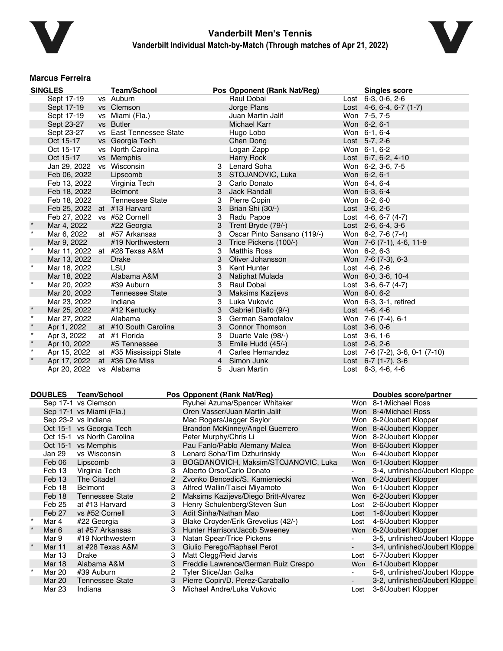



#### **Marcus Ferreira**

|         | <b>SINGLES</b>              | <b>Team/School</b>            |   | Pos Opponent (Rank Nat/Reg) | <b>Singles score</b>            |  |
|---------|-----------------------------|-------------------------------|---|-----------------------------|---------------------------------|--|
|         | Sept 17-19                  | vs Auburn                     |   | Raul Dobai                  | Lost 6-3, 0-6, 2-6              |  |
|         | Sept 17-19                  | vs Clemson                    |   | Jorge Plans                 | Lost $4-6, 6-4, 6-7$ (1-7)      |  |
|         | Sept 17-19                  | vs Miami (Fla.)               |   | Juan Martin Jalif           | Won 7-5, 7-5                    |  |
|         | Sept 23-27                  | vs Butler                     |   | Michael Karr                | Won 6-2, 6-1                    |  |
|         | Sept 23-27                  | vs East Tennessee State       |   | Hugo Lobo                   | Won 6-1, 6-4                    |  |
|         | Oct 15-17                   | vs Georgia Tech               |   | Chen Dong                   | Lost 5-7, 2-6                   |  |
|         | Oct 15-17                   | vs North Carolina             |   | Logan Zapp                  | Won 6-1, 6-2                    |  |
|         | Oct 15-17                   | vs Memphis                    |   | Harry Rock                  | Lost 6-7, 6-2, 4-10             |  |
|         | Jan 29, 2022                | vs Wisconsin                  | 3 | Lenard Soha                 | Won 6-2, 3-6, 7-5               |  |
|         | Feb 06, 2022                | Lipscomb                      | 3 | STOJANOVIC, Luka            | Won 6-2, 6-1                    |  |
|         | Feb 13, 2022                | Virginia Tech                 | 3 | Carlo Donato                | Won 6-4, 6-4                    |  |
|         | Feb 18, 2022                | <b>Belmont</b>                | 3 | <b>Jack Randall</b>         | Won 6-3, 6-4                    |  |
|         | Feb 18, 2022                | <b>Tennessee State</b>        | 3 | Pierre Copin                | Won 6-2, 6-0                    |  |
|         | Feb 25, 2022 at #13 Harvard |                               | 3 | Brian Shi (30/-)            | Lost 3-6, 2-6                   |  |
|         | Feb 27, 2022                | vs #52 Cornell                | 3 | Radu Papoe                  | Lost $4-6, 6-7 (4-7)$           |  |
| $\star$ | Mar 4, 2022                 | #22 Georgia                   | 3 | Trent Bryde (79/-)          | Lost $2-6, 6-4, 3-6$            |  |
| $\star$ | Mar 6, 2022                 | at #57 Arkansas               | 3 | Oscar Pinto Sansano (119/-) | Won 6-2, 7-6 (7-4)              |  |
|         | Mar 9, 2022                 | #19 Northwestern              | 3 | Trice Pickens (100/-)       | Won 7-6 (7-1), 4-6, 11-9        |  |
| $\star$ |                             | Mar 11, 2022 at #28 Texas A&M | 3 | <b>Matthis Ross</b>         | Won 6-2, 6-3                    |  |
|         | Mar 13, 2022                | <b>Drake</b>                  | 3 | Oliver Johansson            | Won 7-6 (7-3), 6-3              |  |
| $\star$ | Mar 18, 2022                | <b>LSU</b>                    | 3 | Kent Hunter                 | Lost 4-6, 2-6                   |  |
|         | Mar 18, 2022                | Alabama A&M                   | 3 | Natiphat Mulada             | Won 6-0, 3-6, 10-4              |  |
| $\star$ | Mar 20, 2022                | #39 Auburn                    | 3 | Raul Dobai                  | Lost $3-6, 6-7 (4-7)$           |  |
|         | Mar 20, 2022                | <b>Tennessee State</b>        | 3 | <b>Maksims Kazijevs</b>     | Won 6-0, 6-2                    |  |
|         | Mar 23, 2022                | Indiana                       | 3 | Luka Vukovic                | Won 6-3, 3-1, retired           |  |
| $\star$ | Mar 25, 2022                | #12 Kentucky                  | 3 | Gabriel Diallo (9/-)        | Lost $4-6, 4-6$                 |  |
| $\star$ | Mar 27, 2022                | Alabama                       | 3 | German Samofalov            | Won 7-6 (7-4), 6-1              |  |
| $\star$ | Apr 1, 2022                 | at #10 South Carolina         |   | 3 Connor Thomson            | Lost 3-6, 0-6                   |  |
| $\star$ | Apr 3, 2022                 | at #1 Florida                 | 3 | Duarte Vale (98/-)          | Lost 3-6, 1-6                   |  |
| $\star$ | Apr 10, 2022                | #5 Tennessee                  | 3 | Emile Hudd (45/-)           | Lost 2-6, 2-6                   |  |
| $\star$ | Apr 15, 2022                | at #35 Mississippi State      | 4 | Carles Hernandez            | Lost 7-6 (7-2), 3-6, 0-1 (7-10) |  |
| $\star$ | Apr 17, 2022                | at #36 Ole Miss               |   | 4 Simon Junk                | Lost $6-7$ (1-7), 3-6           |  |
|         | Apr 20, 2022                | vs Alabama                    | 5 | Juan Martin                 | Lost $6-3, 4-6, 4-6$            |  |

|         | <b>DOUBLES</b> | <b>Team/School</b>         |   | Pos Opponent (Rank Nat/Reg)          |        | Doubles score/partner          |
|---------|----------------|----------------------------|---|--------------------------------------|--------|--------------------------------|
|         |                | Sep 17-1 vs Clemson        |   | Ryuhei Azuma/Spencer Whitaker        |        | Won 8-1/Michael Ross           |
|         |                | Sep 17-1 vs Miami (Fla.)   |   | Oren Vasser/Juan Martin Jalif        |        | Won 8-4/Michael Ross           |
|         |                | Sep 23-2 vs Indiana        |   | Mac Rogers/Jagger Saylor             |        | Won 8-2/Joubert Klopper        |
|         |                | Oct 15-1 vs Georgia Tech   |   | Brandon McKinney/Angel Guerrero      |        | Won 8-4/Joubert Klopper        |
|         |                | Oct 15-1 vs North Carolina |   | Peter Murphy/Chris Li                |        | Won 8-2/Joubert Klopper        |
|         |                | Oct 15-1 vs Memphis        |   | Pau Fanlo/Pablo Alemany Malea        |        | Won 8-6/Joubert Klopper        |
|         | Jan 29         | vs Wisconsin               |   | Lenard Soha/Tim Dzhurinskiy          | Won    | 6-4/Joubert Klopper            |
|         | Feb 06         | Lipscomb                   | 3 | BOGDANOVICH, Maksim/STOJANOVIC, Luka | Won    | 6-1/Joubert Klopper            |
|         | Feb 13         | Virginia Tech              |   | Alberto Orso/Carlo Donato            |        | 3-4, unfinished/Joubert Kloppe |
|         | Feb 13         | The Citadel                |   | Zvonko Bencedic/S. Kamieniecki       | Won    | 6-2/Joubert Klopper            |
|         | Feb 18         | <b>Belmont</b>             | 3 | Alfred Wallin/Taisei Miyamoto        | Won    | 6-1/Joubert Klopper            |
|         | Feb 18         | <b>Tennessee State</b>     | 2 | Maksims Kazijevs/Diego Britt-Alvarez | Won    | 6-2/Joubert Klopper            |
|         | Feb 25         | at #13 Harvard             | 3 | Henry Schulenberg/Steven Sun         | Lost   | 2-6/Joubert Klopper            |
|         | Feb 27         | vs #52 Cornell             | 3 | Adit Sinha/Nathan Mao                | Lost   | 1-6/Joubert Klopper            |
| $\star$ | Mar 4          | #22 Georgia                | 3 | Blake Croyder/Erik Grevelius (42/-)  | Lost   | 4-6/Joubert Klopper            |
| $\star$ | Mar 6          | at #57 Arkansas            | 3 | Hunter Harrison/Jacob Sweeney        | Won    | 6-2/Joubert Klopper            |
|         | Mar 9          | #19 Northwestern           | 3 | Natan Spear/Trice Pickens            |        | 3-5, unfinished/Joubert Kloppe |
| $\star$ | Mar 11         | at #28 Texas A&M           | 3 | Giulio Perego/Raphael Perot          |        | 3-4, unfinished/Joubert Kloppe |
|         | <b>Mar 13</b>  | Drake                      | 3 | Matt Clegg/Reid Jarvis               | Lost   | 5-7/Joubert Klopper            |
|         | <b>Mar 18</b>  | Alabama A&M                | 3 | Freddie Lawrence/German Ruiz Crespo  | Won    | 6-1/Joubert Klopper            |
| $\star$ | Mar 20         | #39 Auburn                 | 2 | <b>Tyler Stice/Jan Galka</b>         |        | 5-6, unfinished/Joubert Kloppe |
|         | Mar 20         | <b>Tennessee State</b>     | 3 | Pierre Copin/D. Perez-Caraballo      | $\sim$ | 3-2, unfinished/Joubert Kloppe |
|         | Mar 23         | Indiana                    | 3 | Michael Andre/Luka Vukovic           | Lost   | 3-6/Joubert Klopper            |
|         |                |                            |   |                                      |        |                                |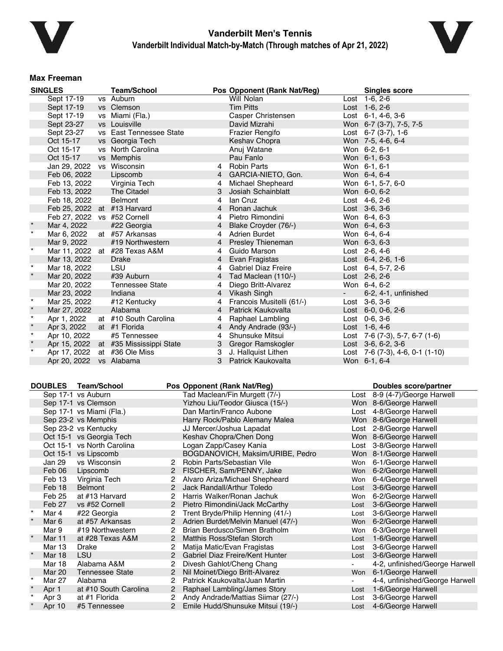



#### **Max Freeman**

|         | <b>SINGLES</b>              |           | <b>Team/School</b>       |                | Pos Opponent (Rank Nat/Reg) |            | <b>Singles score</b>                        |  |
|---------|-----------------------------|-----------|--------------------------|----------------|-----------------------------|------------|---------------------------------------------|--|
|         | Sept 17-19                  |           | vs Auburn                |                | Will Nolan                  |            | Lost $1-6, 2-6$                             |  |
|         | Sept 17-19                  |           | vs Clemson               |                | <b>Tim Pitts</b>            |            | Lost 1-6, 2-6                               |  |
|         | Sept 17-19                  |           | vs Miami (Fla.)          |                | Casper Christensen          |            | Lost $6-1$ , $4-6$ , $3-6$                  |  |
|         | Sept 23-27                  |           | vs Louisville            |                | David Mizrahi               |            | Won 6-7 (3-7), 7-5, 7-5                     |  |
|         | Sept 23-27                  | <b>VS</b> | East Tennessee State     |                | <b>Frazier Rengifo</b>      |            | Lost $6-7$ (3-7), 1-6                       |  |
|         | Oct 15-17                   |           | vs Georgia Tech          |                | Keshav Chopra               |            | Won 7-5, 4-6, 6-4                           |  |
|         | Oct 15-17                   |           | vs North Carolina        |                | Anuj Watane                 |            | Won 6-2, 6-1                                |  |
|         | Oct 15-17                   |           | vs Memphis               |                | Pau Fanlo                   |            | Won 6-1, 6-3                                |  |
|         | Jan 29, 2022                |           | vs Wisconsin             | 4              | Robin Parts                 |            | Won 6-1, 6-1                                |  |
|         | Feb 06, 2022                |           | Lipscomb                 | $\overline{4}$ | GARCIA-NIETO, Gon.          |            | Won 6-4, 6-4                                |  |
|         | Feb 13, 2022                |           | Virginia Tech            | 4              | Michael Shepheard           |            | Won 6-1, 5-7, 6-0                           |  |
|         | Feb 13, 2022                |           | The Citadel              |                | Josiah Schainblatt          |            | Won 6-0, 6-2                                |  |
|         | Feb 18, 2022                |           | <b>Belmont</b>           | 4              | lan Cruz                    |            | Lost 4-6, 2-6                               |  |
|         | Feb 25, 2022 at #13 Harvard |           |                          | $\overline{4}$ | Ronan Jachuk                |            | Lost 3-6, 3-6                               |  |
|         | Feb 27, 2022 vs #52 Cornell |           |                          | 4              | Pietro Rimondini            |            | Won 6-4, 6-3                                |  |
|         | Mar 4, 2022                 |           | #22 Georgia              | 4              | Blake Croyder (76/-)        |            | Won 6-4, 6-3                                |  |
| $\star$ | Mar 6, 2022                 |           | at #57 Arkansas          | 4              | <b>Adrien Burdet</b>        |            | Won 6-4, 6-4                                |  |
|         | Mar 9, 2022                 |           | #19 Northwestern         | 4              | <b>Presley Thieneman</b>    |            | Won 6-3, 6-3                                |  |
| $\star$ | Mar 11, 2022                |           | at #28 Texas A&M         | 4              | Guido Marson                |            | Lost 2-6, 4-6                               |  |
|         | Mar 13, 2022                |           | <b>Drake</b>             | $\overline{4}$ | Evan Fragistas              |            | Lost $6-4$ , $2-6$ , $1-6$                  |  |
| $\star$ | Mar 18, 2022                |           | <b>LSU</b>               | 4              | <b>Gabriel Diaz Freire</b>  |            | Lost 6-4, 5-7, 2-6                          |  |
| $\star$ | Mar 20, 2022                |           | #39 Auburn               | 4              | Tad Maclean (110/-)         |            | Lost 2-6, 2-6                               |  |
|         | Mar 20, 2022                |           | <b>Tennessee State</b>   | 4              | Diego Britt-Alvarez         |            | Won 6-4, 6-2                                |  |
|         | Mar 23, 2022                |           | Indiana                  | 4              | Vikash Singh                | $\sim 100$ | 6-2, 4-1, unfinished                        |  |
| $\star$ | Mar 25, 2022                |           | #12 Kentucky             | 4              | Francois Musitelli (61/-)   |            | Lost 3-6, 3-6                               |  |
| $\star$ | Mar 27, 2022                |           | Alabama                  | 4              | Patrick Kaukovalta          |            | Lost $6-0$ , $0-6$ , $2-6$                  |  |
| $\star$ | Apr 1, 2022                 |           | at #10 South Carolina    | 4              | Raphael Lambling            |            | Lost 0-6, 3-6                               |  |
| $\star$ | Apr 3, 2022                 |           | at #1 Florida            | 4              | Andy Andrade (93/-)         |            | Lost 1-6, 4-6                               |  |
| $\star$ | Apr 10, 2022                |           | #5 Tennessee             | 4              | Shunsuke Mitsui             |            | Lost $7-6$ (7-3), 5-7, 6-7 (1-6)            |  |
| $\star$ | Apr 15, 2022                |           | at #35 Mississippi State | 3              | Gregor Ramskogler           |            | Lost $3-6, 6-2, 3-6$                        |  |
| $\star$ | Apr 17, 2022                |           | at #36 Ole Miss          | 3              | J. Hallquist Lithen         |            | Lost $7-6$ $(7-3)$ , $4-6$ , $0-1$ $(1-10)$ |  |
|         | Apr 20, 2022                |           | vs Alabama               | 3              | Patrick Kaukovalta          |            | Won 6-1, 6-4                                |  |

| <b>DOUBLES</b> | <b>Team/School</b>         |                       | Pos Opponent (Rank Nat/Reg)        |      | Doubles score/partner          |
|----------------|----------------------------|-----------------------|------------------------------------|------|--------------------------------|
|                | Sep 17-1 vs Auburn         |                       | Tad Maclean/Fin Murgett (7/-)      |      | Lost 8-9 (4-7)/George Harwell  |
|                | Sep 17-1 vs Clemson        |                       | Yizhou Liu/Teodor Giusca (15/-)    |      | Won 8-6/George Harwell         |
|                | Sep 17-1 vs Miami (Fla.)   |                       | Dan Martin/Franco Aubone           |      | Lost 4-8/George Harwell        |
|                | Sep 23-2 vs Memphis        |                       | Harry Rock/Pablo Alemany Malea     |      | Won 8-6/George Harwell         |
|                | Sep 23-2 vs Kentucky       |                       | JJ Mercer/Joshua Lapadat           |      | Lost 2-8/George Harwell        |
|                | Oct 15-1 vs Georgia Tech   |                       | Keshav Chopra/Chen Dong            |      | Won 8-6/George Harwell         |
|                | Oct 15-1 vs North Carolina |                       | Logan Zapp/Casey Kania             |      | Lost 3-8/George Harwell        |
|                | Oct 15-1 vs Lipscomb       |                       | BOGDANOVICH, Maksim/URIBE, Pedro   |      | Won 8-1/George Harwell         |
| Jan 29         | vs Wisconsin               |                       | Robin Parts/Sebastian Vile         | Won  | 6-1/George Harwell             |
| Feb 06         | Lipscomb                   | $\mathbf{2}^{\prime}$ | FISCHER, Sam/PENNY, Jake           | Won  | 6-2/George Harwell             |
| Feb 13         | Virginia Tech              | 2                     | Alvaro Ariza/Michael Shepheard     | Won  | 6-4/George Harwell             |
| Feb 18         | <b>Belmont</b>             | 2                     | Jack Randall/Arthur Toledo         | Lost | 3-6/George Harwell             |
| Feb 25         | at #13 Harvard             | $\overline{2}$        | Harris Walker/Ronan Jachuk         | Won  | 6-2/George Harwell             |
| Feb 27         | vs #52 Cornell             | $\mathbf{2}$          | Pietro Rimondini/Jack McCarthy     | Lost | 3-6/George Harwell             |
| Mar 4          | #22 Georgia                | $\mathbf{2}^{\circ}$  | Trent Bryde/Philip Henning (41/-)  | Lost | 3-6/George Harwell             |
| Mar 6          | at #57 Arkansas            | $\overline{2}$        | Adrien Burdet/Melvin Manuel (47/-) | Won  | 6-2/George Harwell             |
| Mar 9          | #19 Northwestern           | 2                     | Brian Berdusco/Simen Bratholm      | Won  | 6-3/George Harwell             |
| <b>Mar 11</b>  | at #28 Texas A&M           | $\overline{2}$        | Matthis Ross/Stefan Storch         | Lost | 1-6/George Harwell             |
| Mar 13         | Drake                      | 2                     | Matija Matic/Evan Fragistas        | Lost | 3-6/George Harwell             |
| <b>Mar 18</b>  | <b>LSU</b>                 | $\overline{2}$        | Gabriel Diaz Freire/Kent Hunter    | Lost | 3-6/George Harwell             |
| Mar 18         | Alabama A&M                | 2                     | Divesh Gahlot/Cheng Chang          |      | 4-2, unfinished/George Harwell |
| <b>Mar 20</b>  | <b>Tennessee State</b>     | $\overline{2}$        | Nil Moinet/Diego Britt-Alvarez     | Won  | 6-1/George Harwell             |
| Mar 27         | Alabama                    | 2                     | Patrick Kaukovalta/Juan Martin     |      | 4-4, unfinished/George Harwell |
| Apr 1          | at #10 South Carolina      | $\overline{2}$        | Raphael Lambling/James Story       | Lost | 1-6/George Harwell             |
| Apr 3          | at #1 Florida              | 2                     | Andy Andrade/Mattias Siimar (27/-) | Lost | 3-6/George Harwell             |
| Apr 10         | #5 Tennessee               | $\mathbf{2}^{\prime}$ | Emile Hudd/Shunsuke Mitsui (19/-)  |      | Lost 4-6/George Harwell        |
|                |                            |                       |                                    |      |                                |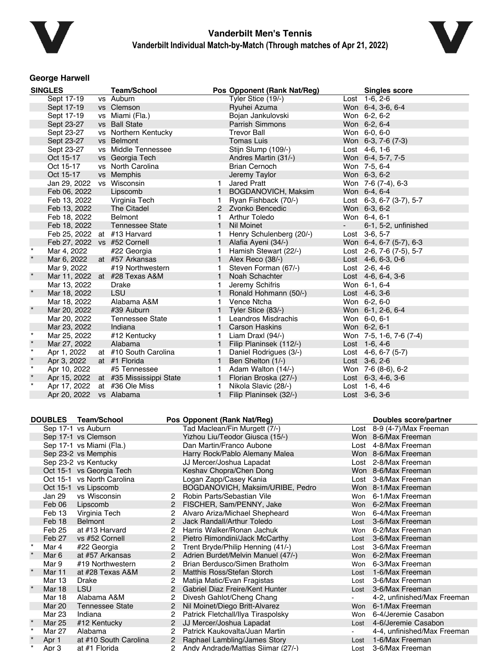



### **George Harwell**

|         | <b>SINGLES</b>               | <b>Team/School</b>                    |              | Pos Opponent (Rank Nat/Reg) |        | <b>Singles score</b>       |
|---------|------------------------------|---------------------------------------|--------------|-----------------------------|--------|----------------------------|
|         | Sept 17-19                   | vs Auburn                             |              | Tyler Stice (19/-)          |        | Lost $1-6, 2-6$            |
|         | Sept 17-19                   | vs Clemson                            |              | Ryuhei Azuma                |        | Won 6-4, 3-6, 6-4          |
|         | Sept 17-19                   | vs Miami (Fla.)                       |              | Bojan Jankulovski           |        | Won 6-2, 6-2               |
|         | Sept 23-27                   | vs Ball State                         |              | <b>Parrish Simmons</b>      |        | Won 6-2, 6-4               |
|         | Sept 23-27                   | vs Northern Kentucky                  |              | <b>Trevor Ball</b>          |        | Won 6-0, 6-0               |
|         | Sept 23-27                   | vs Belmont                            |              | <b>Tomas Luis</b>           |        | Won 6-3, 7-6 (7-3)         |
|         | Sept 23-27                   | vs Middle Tennessee                   |              | Stijn Slump (109/-)         |        | Lost 4-6, 1-6              |
|         | Oct 15-17                    | vs Georgia Tech                       |              | Andres Martin (31/-)        |        | Won 6-4, 5-7, 7-5          |
|         | Oct 15-17                    | vs North Carolina                     |              | <b>Brian Cernoch</b>        |        | Won 7-5, 6-4               |
|         | Oct 15-17                    | vs Memphis                            |              | Jeremy Taylor               |        | Won 6-3, 6-2               |
|         | Jan 29, 2022                 | vs Wisconsin                          | 1            | <b>Jared Pratt</b>          |        | Won 7-6 (7-4), 6-3         |
|         | Feb 06, 2022                 | Lipscomb                              | 1            | BOGDANOVICH, Maksim         |        | Won 6-4, 6-4               |
|         | Feb 13, 2022                 | Virginia Tech                         |              | Ryan Fishback (70/-)        |        | Lost 6-3, 6-7 (3-7), 5-7   |
|         | Feb 13, 2022                 | The Citadel                           |              | 2 Zvonko Bencedic           |        | Won 6-3, 6-2               |
|         | Feb 18, 2022                 | <b>Belmont</b>                        | 1            | <b>Arthur Toledo</b>        |        | Won 6-4, 6-1               |
|         | Feb 18, 2022                 | <b>Tennessee State</b>                | $\mathbf{1}$ | <b>Nil Moinet</b>           | $\sim$ | 6-1, 5-2, unfinished       |
|         | Feb 25, 2022 at #13 Harvard  |                                       | 1            | Henry Schulenberg (20/-)    |        | Lost 3-6, 5-7              |
|         | Feb 27, 2022 vs #52 Cornell  |                                       |              | Alafia Ayeni (34/-)         |        | Won 6-4, 6-7 (5-7), 6-3    |
| $\star$ | Mar 4, 2022                  | #22 Georgia                           | 1            | Hamish Stewart (22/-)       |        | Lost 2-6, 7-6 (7-5), 5-7   |
|         | Mar 6, 2022                  | at #57 Arkansas                       | 1            | Alex Reco (38/-)            |        | Lost $4-6, 6-3, 0-6$       |
|         | Mar 9, 2022                  | #19 Northwestern                      | 1.           | Steven Forman (67/-)        |        | Lost $2-6, 4-6$            |
| $\star$ |                              | Mar 11, 2022 at #28 Texas A&M         | $\mathbf{1}$ | Noah Schachter              |        | Lost $4-6, 6-4, 3-6$       |
|         | Mar 13, 2022                 | Drake                                 | 1            | Jeremy Schifris             |        | Won 6-1, 6-4               |
| $\star$ | Mar 18, 2022                 | LSU                                   | $\mathbf{1}$ | Ronald Hohmann (50/-)       |        | Lost 4-6, 3-6              |
|         | Mar 18, 2022                 | Alabama A&M                           | 1.           | Vence Ntcha                 |        | Won 6-2, 6-0               |
| $\star$ | Mar 20, 2022                 | #39 Auburn                            | 1            | Tyler Stice (83/-)          |        | Won 6-1, 2-6, 6-4          |
|         | Mar 20, 2022                 | <b>Tennessee State</b>                | 1.           | Leandros Misdrachis         |        | Won 6-0, 6-1               |
|         | Mar 23, 2022                 | Indiana                               |              | 1 Carson Haskins            |        | Won 6-2, 6-1               |
| $\star$ | Mar 25, 2022                 | #12 Kentucky                          | 1            | Liam Draxl (94/-)           |        | Won 7-5, 1-6, 7-6 (7-4)    |
| $\star$ | Mar 27, 2022                 | Alabama                               | $\mathbf{1}$ | Filip Planinsek (112/-)     |        | Lost $1-6, 4-6$            |
| $\star$ | Apr 1, 2022                  | at #10 South Carolina                 | 1            | Daniel Rodrigues (3/-)      |        | Lost $4-6, 6-7$ (5-7)      |
| $\star$ | Apr 3, 2022                  | at #1 Florida                         | $\mathbf{1}$ | Ben Shelton (1/-)           |        | Lost 3-6, 2-6              |
| $\star$ | Apr 10, 2022                 | #5 Tennessee                          | 1            | Adam Walton (14/-)          |        | Won 7-6 (8-6), 6-2         |
| $\star$ |                              | Apr 15, 2022 at #35 Mississippi State | $\mathbf{1}$ | Florian Broska (27/-)       |        | Lost $6-3$ , $4-6$ , $3-6$ |
| $\star$ | Apr 17, 2022 at #36 Ole Miss |                                       | 1            | Nikola Slavic (28/-)        |        | Lost $1-6, 4-6$            |
|         | Apr 20, 2022 vs Alabama      |                                       | $\mathbf{1}$ | Filip Planinsek (32/-)      |        | Lost 3-6, 3-6              |

|         | <b>DOUBLES</b> | <b>Team/School</b>         |                | Pos Opponent (Rank Nat/Reg)        |            | Doubles score/partner       |
|---------|----------------|----------------------------|----------------|------------------------------------|------------|-----------------------------|
|         |                | Sep 17-1 vs Auburn         |                | Tad Maclean/Fin Murgett (7/-)      | Lost       | 8-9 (4-7)/Max Freeman       |
|         |                | Sep 17-1 vs Clemson        |                | Yizhou Liu/Teodor Giusca (15/-)    |            | Won 8-6/Max Freeman         |
|         |                | Sep 17-1 vs Miami (Fla.)   |                | Dan Martin/Franco Aubone           |            | Lost 4-8/Max Freeman        |
|         |                | Sep 23-2 vs Memphis        |                | Harry Rock/Pablo Alemany Malea     |            | Won 8-6/Max Freeman         |
|         |                | Sep 23-2 vs Kentucky       |                | JJ Mercer/Joshua Lapadat           |            | Lost 2-8/Max Freeman        |
|         |                | Oct 15-1 vs Georgia Tech   |                | Keshav Chopra/Chen Dong            |            | Won 8-6/Max Freeman         |
|         |                | Oct 15-1 vs North Carolina |                | Logan Zapp/Casey Kania             | Lost       | 3-8/Max Freeman             |
|         |                | Oct 15-1 vs Lipscomb       |                | BOGDANOVICH, Maksim/URIBE, Pedro   |            | Won 8-1/Max Freeman         |
|         | Jan 29         | vs Wisconsin               | 2              | Robin Parts/Sebastian Vile         | Won        | 6-1/Max Freeman             |
|         | Feb 06         | Lipscomb                   |                | FISCHER, Sam/PENNY, Jake           | Won        | 6-2/Max Freeman             |
|         | Feb 13         | Virginia Tech              | 2              | Alvaro Ariza/Michael Shepheard     | Won        | 6-4/Max Freeman             |
|         | Feb 18         | <b>Belmont</b>             | $\mathcal{P}$  | Jack Randall/Arthur Toledo         | Lost       | 3-6/Max Freeman             |
|         | Feb 25         | at #13 Harvard             |                | Harris Walker/Ronan Jachuk         | Won        | 6-2/Max Freeman             |
|         | Feb 27         | vs #52 Cornell             |                | Pietro Rimondini/Jack McCarthy     | Lost       | 3-6/Max Freeman             |
| $\star$ | Mar 4          | #22 Georgia                | $\overline{c}$ | Trent Bryde/Philip Henning (41/-)  | Lost       | 3-6/Max Freeman             |
|         | Mar 6          | at #57 Arkansas            | $\overline{2}$ | Adrien Burdet/Melvin Manuel (47/-) | Won        | 6-2/Max Freeman             |
|         | Mar 9          | #19 Northwestern           |                | Brian Berdusco/Simen Bratholm      | <b>Won</b> | 6-3/Max Freeman             |
|         | Mar 11         | at #28 Texas A&M           | 2              | Matthis Ross/Stefan Storch         | Lost       | 1-6/Max Freeman             |
|         | Mar 13         | Drake                      | 2              | Matija Matic/Evan Fragistas        | Lost       | 3-6/Max Freeman             |
|         | <b>Mar 18</b>  | <b>LSU</b>                 |                | Gabriel Diaz Freire/Kent Hunter    | Lost       | 3-6/Max Freeman             |
|         | <b>Mar 18</b>  | Alabama A&M                | 2              | Divesh Gahlot/Cheng Chang          |            | 4-2, unfinished/Max Freeman |
|         | <b>Mar 20</b>  | Tennessee State            | 2              | Nil Moinet/Diego Britt-Alvarez     | <b>Won</b> | 6-1/Max Freeman             |
|         | Mar 23         | Indiana                    |                | Patrick Fletchall/Ilya Tiraspolsky | Won        | 6-4/Jeremie Casabon         |
|         | Mar 25         | #12 Kentucky               | $\mathbf{2}$   | JJ Mercer/Joshua Lapadat           | Lost       | 4-6/Jeremie Casabon         |
| $\star$ | Mar 27         | Alabama                    |                | Patrick Kaukovalta/Juan Martin     |            | 4-4, unfinished/Max Freeman |
|         | Apr 1          | at #10 South Carolina      | $\overline{2}$ | Raphael Lambling/James Story       | Lost       | 1-6/Max Freeman             |
|         | Apr 3          | at #1 Florida              |                | Andy Andrade/Mattias Siimar (27/-) |            | ost 3-6/Max Freeman         |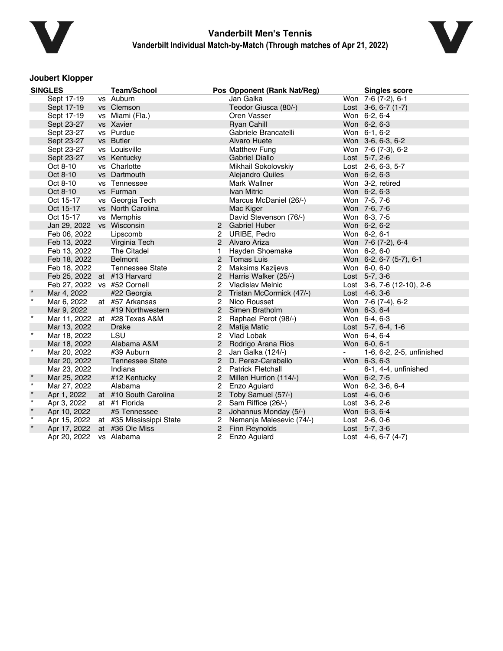



### **Joubert Klopper**

|         | <b>SINGLES</b>              | <b>Team/School</b>            |                | Pos Opponent (Rank Nat/Reg) |        | <b>Singles score</b>       |
|---------|-----------------------------|-------------------------------|----------------|-----------------------------|--------|----------------------------|
|         | Sept 17-19                  | vs Auburn                     |                | Jan Galka                   |        | Won 7-6 (7-2), 6-1         |
|         | Sept 17-19                  | vs Clemson                    |                | Teodor Giusca (80/-)        |        | Lost $3-6, 6-7$ (1-7)      |
|         | Sept 17-19                  | vs Miami (Fla.)               |                | Oren Vasser                 |        | Won 6-2, 6-4               |
|         | Sept 23-27                  | vs Xavier                     |                | <b>Ryan Cahill</b>          |        | Won 6-2, 6-3               |
|         | Sept 23-27                  | vs Purdue                     |                | Gabriele Brancatelli        |        | Won 6-1, 6-2               |
|         | Sept 23-27                  | vs Butler                     |                | <b>Alvaro Huete</b>         |        | Won 3-6, 6-3, 6-2          |
|         | Sept 23-27                  | vs Louisville                 |                | Matthew Fung                |        | Won 7-6 (7-3), 6-2         |
|         | Sept 23-27                  | vs Kentucky                   |                | <b>Gabriel Diallo</b>       |        | Lost 5-7, 2-6              |
|         | Oct 8-10                    | vs Charlotte                  |                | Mikhail Sokolovskiy         |        | Lost 2-6, 6-3, 5-7         |
|         | Oct 8-10                    | vs Dartmouth                  |                | Alejandro Quiles            |        | Won 6-2, 6-3               |
|         | Oct 8-10                    | vs Tennessee                  |                | Mark Wallner                |        | Won 3-2, retired           |
|         | Oct 8-10                    | vs Furman                     |                | <b>Ivan Mitric</b>          |        | Won 6-2, 6-3               |
|         | Oct 15-17                   | vs Georgia Tech               |                | Marcus McDaniel (26/-)      |        | Won 7-5, 7-6               |
|         | Oct 15-17                   | vs North Carolina             |                | Mac Kiger                   |        | Won 7-6, 7-6               |
|         | Oct 15-17                   | vs Memphis                    |                | David Stevenson (76/-)      |        | Won 6-3, 7-5               |
|         | Jan 29, 2022                | vs Wisconsin                  |                | 2 Gabriel Huber             |        | Won 6-2, 6-2               |
|         | Feb 06, 2022                | Lipscomb                      | 2              | URIBE, Pedro                |        | Won 6-2, 6-1               |
|         | Feb 13, 2022                | Virginia Tech                 |                | 2 Alvaro Ariza              |        | Won 7-6 (7-2), 6-4         |
|         | Feb 13, 2022                | The Citadel                   | 1              | Hayden Shoemake             |        | Won 6-2, 6-0               |
|         | Feb 18, 2022                | <b>Belmont</b>                |                | 2 Tomas Luis                |        | Won 6-2, 6-7 (5-7), 6-1    |
|         | Feb 18, 2022                | <b>Tennessee State</b>        | 2              | Maksims Kazijevs            |        | Won 6-0, 6-0               |
|         | Feb 25, 2022 at #13 Harvard |                               |                | 2 Harris Walker (25/-)      |        | Lost 5-7, 3-6              |
|         | Feb 27, 2022 vs #52 Cornell |                               | 2              | Vladislav Melnic            |        | Lost 3-6, 7-6 (12-10), 2-6 |
|         | Mar 4, 2022                 | #22 Georgia                   | 2              | Tristan McCormick (47/-)    |        | Lost 4-6, 3-6              |
| $\star$ | Mar 6, 2022                 | at #57 Arkansas               | $\overline{2}$ | Nico Rousset                |        | Won 7-6 (7-4), 6-2         |
|         | Mar 9, 2022                 | #19 Northwestern              |                | 2 Simen Bratholm            |        | Won 6-3, 6-4               |
| $\star$ |                             | Mar 11, 2022 at #28 Texas A&M | 2              | Raphael Perot (98/-)        |        | Won 6-4, 6-3               |
|         | Mar 13, 2022                | Drake                         | $\overline{2}$ | <b>Matija Matic</b>         |        | Lost 5-7, 6-4, 1-6         |
| $\star$ | Mar 18, 2022                | LSU                           |                | 2 Vlad Lobak                |        | Won 6-4, 6-4               |
|         | Mar 18, 2022                | Alabama A&M                   | $\overline{c}$ | Rodrigo Arana Rios          |        | Won 6-0, 6-1               |
| $\star$ | Mar 20, 2022                | #39 Auburn                    | 2              | Jan Galka (124/-)           | $\sim$ | 1-6, 6-2, 2-5, unfinished  |
|         | Mar 20, 2022                | <b>Tennessee State</b>        | $\overline{2}$ | D. Perez-Caraballo          |        | Won 6-3, 6-3               |
|         | Mar 23, 2022                | Indiana                       | 2              | <b>Patrick Fletchall</b>    |        | 6-1, 4-4, unfinished       |
| $\star$ | Mar 25, 2022                | #12 Kentucky                  | $\overline{2}$ | Millen Hurrion (114/-)      |        | Won 6-2, 7-5               |
| $\star$ | Mar 27, 2022                | Alabama                       | 2              | Enzo Aguiard                |        | Won 6-2, 3-6, 6-4          |
| $\star$ | Apr 1, 2022                 | at #10 South Carolina         |                | 2 Toby Samuel (57/-)        |        | Lost 4-6, 0-6              |
| $\star$ | Apr 3, 2022                 | at #1 Florida                 | 2              | Sam Riffice (26/-)          |        | Lost 3-6, 2-6              |
| $\star$ | Apr 10, 2022                | #5 Tennessee                  |                | 2 Johannus Monday (5/-)     |        | Won 6-3, 6-4               |
| $\star$ | Apr 15, 2022                | at #35 Mississippi State      | 2              | Nemanja Malesevic (74/-)    |        | Lost 2-6, 0-6              |
| $\star$ | Apr 17, 2022                | at #36 Ole Miss               |                | 2 Finn Reynolds             |        | Lost 5-7, 3-6              |
|         | Apr 20, 2022 vs Alabama     |                               |                | 2 Enzo Aguiard              |        | Lost $4-6, 6-7 (4-7)$      |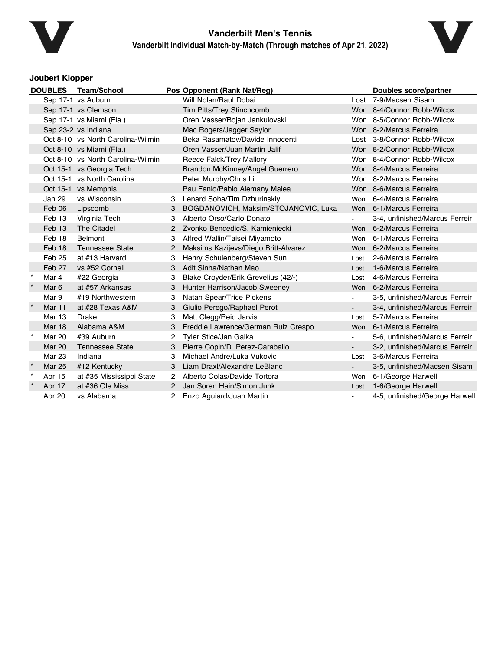



### **Joubert Klopper**

| <b>Team/School</b><br><b>DOUBLES</b> |                  |                                   | Pos Opponent (Rank Nat/Reg) |                                      | <b>Doubles score/partner</b> |                                |
|--------------------------------------|------------------|-----------------------------------|-----------------------------|--------------------------------------|------------------------------|--------------------------------|
|                                      |                  | Sep 17-1 vs Auburn                |                             | Will Nolan/Raul Dobai                |                              | Lost 7-9/Macsen Sisam          |
|                                      |                  | Sep 17-1 vs Clemson               |                             | Tim Pitts/Trey Stinchcomb            |                              | Won 8-4/Connor Robb-Wilcox     |
|                                      |                  | Sep 17-1 vs Miami (Fla.)          |                             | Oren Vasser/Bojan Jankulovski        |                              | Won 8-5/Connor Robb-Wilcox     |
|                                      |                  | Sep 23-2 vs Indiana               |                             | Mac Rogers/Jagger Saylor             |                              | Won 8-2/Marcus Ferreira        |
|                                      |                  | Oct 8-10 vs North Carolina-Wilmin |                             | Beka Rasamatov/Davide Innocenti      |                              | Lost 3-8/Connor Robb-Wilcox    |
|                                      |                  | Oct 8-10 vs Miami (Fla.)          |                             | Oren Vasser/Juan Martin Jalif        |                              | Won 8-2/Connor Robb-Wilcox     |
|                                      |                  | Oct 8-10 vs North Carolina-Wilmin |                             | Reece Falck/Trey Mallory             |                              | Won 8-4/Connor Robb-Wilcox     |
|                                      |                  | Oct 15-1 vs Georgia Tech          |                             | Brandon McKinney/Angel Guerrero      |                              | Won 8-4/Marcus Ferreira        |
|                                      |                  | Oct 15-1 vs North Carolina        |                             | Peter Murphy/Chris Li                |                              | Won 8-2/Marcus Ferreira        |
|                                      |                  | Oct 15-1 vs Memphis               |                             | Pau Fanlo/Pablo Alemany Malea        |                              | Won 8-6/Marcus Ferreira        |
|                                      | Jan 29           | vs Wisconsin                      | 3                           | Lenard Soha/Tim Dzhurinskiy          |                              | Won 6-4/Marcus Ferreira        |
|                                      | Feb 06           | Lipscomb                          | 3                           | BOGDANOVICH, Maksim/STOJANOVIC, Luka |                              | Won 6-1/Marcus Ferreira        |
|                                      | Feb 13           | Virginia Tech                     | 3                           | Alberto Orso/Carlo Donato            |                              | 3-4, unfinished/Marcus Ferreir |
|                                      | Feb 13           | The Citadel                       | $\mathbf{2}$                | Zvonko Bencedic/S, Kamieniecki       |                              | Won 6-2/Marcus Ferreira        |
|                                      | Feb 18           | <b>Belmont</b>                    |                             | Alfred Wallin/Taisei Miyamoto        | Won                          | 6-1/Marcus Ferreira            |
|                                      | Feb 18           | <b>Tennessee State</b>            | $\overline{2}$              | Maksims Kazijevs/Diego Britt-Alvarez |                              | Won 6-2/Marcus Ferreira        |
|                                      | Feb 25           | at #13 Harvard                    | 3                           | Henry Schulenberg/Steven Sun         | Lost                         | 2-6/Marcus Ferreira            |
|                                      | Feb 27           | vs #52 Cornell                    | 3                           | Adit Sinha/Nathan Mao                | Lost                         | 1-6/Marcus Ferreira            |
| $\star$                              | Mar 4            | #22 Georgia                       | 3                           | Blake Croyder/Erik Grevelius (42/-)  | Lost                         | 4-6/Marcus Ferreira            |
|                                      | Mar <sub>6</sub> | at #57 Arkansas                   | 3                           | Hunter Harrison/Jacob Sweeney        |                              | Won 6-2/Marcus Ferreira        |
|                                      | Mar 9            | #19 Northwestern                  | 3                           | Natan Spear/Trice Pickens            | $\blacksquare$               | 3-5, unfinished/Marcus Ferreir |
| $\star$                              | Mar 11           | at #28 Texas A&M                  | 3                           | Giulio Perego/Raphael Perot          |                              | 3-4, unfinished/Marcus Ferreir |
|                                      | <b>Mar 13</b>    | <b>Drake</b>                      | 3                           | Matt Clegg/Reid Jarvis               | Lost                         | 5-7/Marcus Ferreira            |
|                                      | <b>Mar 18</b>    | Alabama A&M                       | 3                           | Freddie Lawrence/German Ruiz Crespo  | <b>Won</b>                   | 6-1/Marcus Ferreira            |
| $\star$                              | <b>Mar 20</b>    | #39 Auburn                        | 2                           | <b>Tyler Stice/Jan Galka</b>         |                              | 5-6, unfinished/Marcus Ferreir |
|                                      | <b>Mar 20</b>    | <b>Tennessee State</b>            | 3                           | Pierre Copin/D. Perez-Caraballo      |                              | 3-2, unfinished/Marcus Ferreir |
|                                      | <b>Mar 23</b>    | Indiana                           |                             | Michael Andre/Luka Vukovic           | Lost                         | 3-6/Marcus Ferreira            |
| $\star$                              | <b>Mar 25</b>    | #12 Kentucky                      | 3                           | Liam Draxl/Alexandre LeBlanc         |                              | 3-5, unfinished/Macsen Sisam   |
| $\star$                              | Apr 15           | at #35 Mississippi State          | $\mathbf{2}^{\circ}$        | Alberto Colas/Davide Tortora         | Won                          | 6-1/George Harwell             |
| $\star$                              | Apr 17           | at #36 Ole Miss                   | 2                           | Jan Soren Hain/Simon Junk            | Lost                         | 1-6/George Harwell             |
|                                      | Apr 20           | vs Alabama                        |                             | Enzo Aguiard/Juan Martin             |                              | 4-5, unfinished/George Harwell |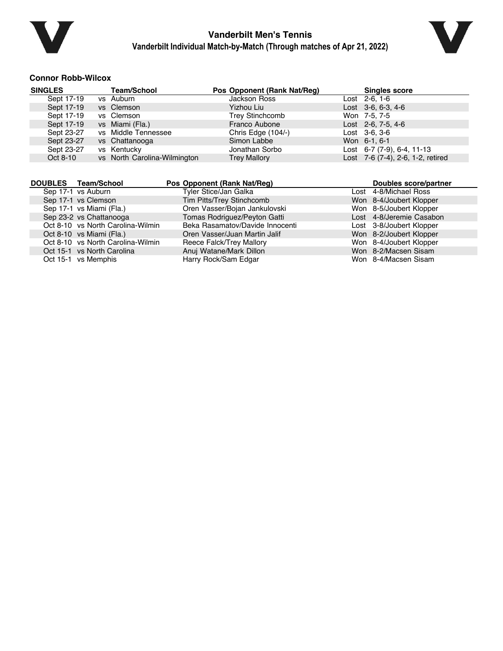



### **Connor Robb-Wilcox**

| <b>SINGLES</b> | <b>Team/School</b>           | Pos Opponent (Rank Nat/Reg) | <b>Singles score</b>              |
|----------------|------------------------------|-----------------------------|-----------------------------------|
| Sept 17-19     | vs Auburn                    | <b>Jackson Ross</b>         | Lost 2-6, 1-6                     |
| Sept 17-19     | vs Clemson                   | Yizhou Liu                  | Lost $3-6, 6-3, 4-6$              |
| Sept 17-19     | vs Clemson                   | <b>Trey Stinchcomb</b>      | Won 7-5, 7-5                      |
| Sept 17-19     | vs Miami (Fla.)              | Franco Aubone               | Lost 2-6, 7-5, 4-6                |
| Sept 23-27     | vs Middle Tennessee          | Chris Edge (104/-)          | Lost 3-6, 3-6                     |
| Sept 23-27     | vs Chattanooga               | Simon Labbe                 | Won 6-1, 6-1                      |
| Sept 23-27     | vs Kentucky                  | Jonathan Sorbo              | Lost $6-7$ (7-9), $6-4$ , 11-13   |
| Oct 8-10       | vs North Carolina-Wilmington | <b>Trey Mallory</b>         | Lost 7-6 (7-4), 2-6, 1-2, retired |

| DOUBLES Team/School               | Pos Opponent (Rank Nat/Req)     | Doubles score/partner    |
|-----------------------------------|---------------------------------|--------------------------|
| Sep 17-1 vs Auburn                | Tyler Stice/Jan Galka           | Lost 4-8/Michael Ross    |
| Sep 17-1 vs Clemson               | Tim Pitts/Trey Stinchcomb       | Won 8-4/Joubert Klopper  |
| Sep 17-1 vs Miami (Fla.)          | Oren Vasser/Bojan Jankulovski   | Won 8-5/Joubert Klopper  |
| Sep 23-2 vs Chattanooga           | Tomas Rodriguez/Peyton Gatti    | Lost 4-8/Jeremie Casabon |
| Oct 8-10 vs North Carolina-Wilmin | Beka Rasamatov/Davide Innocenti | Lost 3-8/Joubert Klopper |
| Oct 8-10 vs Miami (Fla.)          | Oren Vasser/Juan Martin Jalif   | Won 8-2/Joubert Klopper  |
| Oct 8-10 vs North Carolina-Wilmin | Reece Falck/Trey Mallory        | Won 8-4/Joubert Klopper  |
| Oct 15-1 vs North Carolina        | Anuj Watane/Mark Dillon         | Won 8-2/Macsen Sisam     |
| Oct 15-1 vs Memphis               | Harry Rock/Sam Edgar            | Won 8-4/Macsen Sisam     |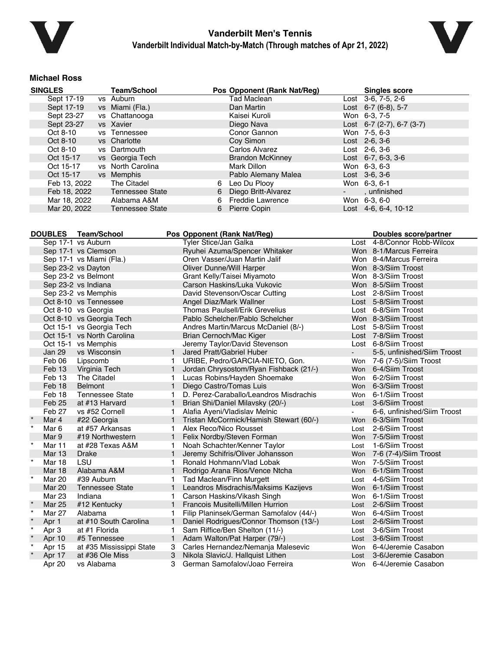



#### **Michael Ross**

| <b>SINGLES</b> | <b>Team/School</b>     |   | Pos Opponent (Rank Nat/Reg) | <b>Singles score</b>          |
|----------------|------------------------|---|-----------------------------|-------------------------------|
| Sept 17-19     | vs Auburn              |   | Tad Maclean                 | Lost 3-6, 7-5, 2-6            |
| Sept 17-19     | vs Miami (Fla.)        |   | Dan Martin                  | Lost $6-7$ $(6-8)$ , 5-7      |
| Sept 23-27     | vs Chattanooga         |   | Kaisei Kuroli               | Won 6-3, 7-5                  |
| Sept 23-27     | vs Xavier              |   | Diego Nava                  | Lost $6-7$ (2-7), $6-7$ (3-7) |
| Oct 8-10       | vs Tennessee           |   | Conor Gannon                | Won 7-5, 6-3                  |
| Oct 8-10       | vs Charlotte           |   | Coy Simon                   | $Last \, 2-6, 3-6$            |
| Oct 8-10       | vs Dartmouth           |   | Carlos Alvarez              | Lost $2-6, 3-6$               |
| Oct 15-17      | vs Georgia Tech        |   | <b>Brandon McKinney</b>     | Lost $6-7, 6-3, 3-6$          |
| Oct 15-17      | vs North Carolina      |   | Mark Dillon                 | Won 6-3, 6-3                  |
| Oct 15-17      | vs Memphis             |   | Pablo Alemany Malea         | $Last \, 3-6, 3-6$            |
| Feb 13, 2022   | The Citadel            | 6 | Leo Du Plooy                | Won 6-3, 6-1                  |
| Feb 18, 2022   | <b>Tennessee State</b> | 6 | Diego Britt-Alvarez         | unfinished                    |
| Mar 18, 2022   | Alabama A&M            | 6 | <b>Freddie Lawrence</b>     | Won 6-3, 6-0                  |
| Mar 20, 2022   | <b>Tennessee State</b> | 6 | Pierre Copin                | Lost 4-6, 6-4, 10-12          |

|         | <b>DOUBLES</b> | Team/School                | Pos Opponent (Rank Nat/Reg) | <b>Doubles score/partner</b>            |      |                             |
|---------|----------------|----------------------------|-----------------------------|-----------------------------------------|------|-----------------------------|
|         |                | Sep 17-1 vs Auburn         |                             | Tyler Stice/Jan Galka                   |      | Lost 4-8/Connor Robb-Wilcox |
|         |                | Sep 17-1 vs Clemson        |                             | Ryuhei Azuma/Spencer Whitaker           |      | Won 8-1/Marcus Ferreira     |
|         |                | Sep 17-1 vs Miami (Fla.)   |                             | Oren Vasser/Juan Martin Jalif           |      | Won 8-4/Marcus Ferreira     |
|         |                | Sep 23-2 vs Dayton         |                             | <b>Oliver Dunne/Will Harper</b>         |      | Won 8-3/Siim Troost         |
|         |                | Sep 23-2 vs Belmont        |                             | Grant Kelly/Taisei Miyamoto             |      | Won 8-3/Siim Troost         |
|         |                | Sep 23-2 vs Indiana        |                             | Carson Haskins/Luka Vukovic             |      | Won 8-5/Siim Troost         |
|         |                | Sep 23-2 vs Memphis        |                             | David Stevenson/Oscar Cutting           |      | Lost 2-8/Siim Troost        |
|         |                | Oct 8-10 vs Tennessee      |                             | Angel Diaz/Mark Wallner                 |      | Lost 5-8/Siim Troost        |
|         |                | Oct 8-10 vs Georgia        |                             | <b>Thomas Paulsell/Erik Grevelius</b>   |      | Lost 6-8/Siim Troost        |
|         |                | Oct 8-10 vs Georgia Tech   |                             | Pablo Schelcher/Pablo Schelcher         |      | Won 8-3/Siim Troost         |
|         |                | Oct 15-1 vs Georgia Tech   |                             | Andres Martin/Marcus McDaniel (8/-)     |      | Lost 5-8/Siim Troost        |
|         |                | Oct 15-1 vs North Carolina |                             | Brian Cernoch/Mac Kiger                 |      | Lost 7-8/Siim Troost        |
|         |                | Oct 15-1 vs Memphis        |                             | Jeremy Taylor/David Stevenson           |      | Lost 6-8/Siim Troost        |
|         | <b>Jan 29</b>  | vs Wisconsin               | $\mathbf{1}$                | Jared Pratt/Gabriel Huber               |      | 5-5, unfinished/Siim Troost |
|         | Feb 06         | Lipscomb                   | 1.                          | URIBE, Pedro/GARCIA-NIETO, Gon.         |      | Won 7-6 (7-5)/Siim Troost   |
|         | Feb 13         | Virginia Tech              | $\mathbf{1}$                | Jordan Chrysostom/Ryan Fishback (21/-)  |      | Won 6-4/Siim Troost         |
|         | Feb 13         | The Citadel                | 1.                          | Lucas Robins/Hayden Shoemake            | Won  | 6-2/Siim Troost             |
|         | Feb 18         | <b>Belmont</b>             | $\mathbf{1}$                | Diego Castro/Tomas Luis                 | Won  | 6-3/Siim Troost             |
|         | Feb 18         | <b>Tennessee State</b>     |                             | D. Perez-Caraballo/Leandros Misdrachis  | Won  | 6-1/Siim Troost             |
|         | Feb 25         | at #13 Harvard             | $\mathbf{1}$                | Brian Shi/Daniel Milavsky (20/-)        | Lost | 3-6/Siim Troost             |
|         | Feb 27         | vs #52 Cornell             | 1.                          | Alafia Ayeni/Vladislav Melnic           |      | 6-6, unfinished/Siim Troost |
|         | Mar 4          | #22 Georgia                | $\mathbf{1}$                | Tristan McCormick/Hamish Stewart (60/-) |      | Won 6-3/Siim Troost         |
| $\star$ | Mar 6          | at #57 Arkansas            | 1.                          | Alex Reco/Nico Rousset                  | Lost | 2-6/Siim Troost             |
|         | Mar 9          | #19 Northwestern           | $\mathbf{1}$                | Felix Nordby/Steven Forman              |      | Won 7-5/Siim Troost         |
| $\star$ | Mar 11         | at #28 Texas A&M           | 1.                          | Noah Schachter/Kenner Taylor            | Lost | 1-6/Siim Troost             |
|         | <b>Mar 13</b>  | <b>Drake</b>               |                             | Jeremy Schifris/Oliver Johansson        | Won  | 7-6 (7-4)/Siim Troost       |
| $\star$ | Mar 18         | LSU                        |                             | Ronald Hohmann/Vlad Lobak               | Won  | 7-5/Siim Troost             |
|         | <b>Mar 18</b>  | Alabama A&M                | 1                           | Rodrigo Arana Rios/Vence Ntcha          | Won  | 6-1/Siim Troost             |
| $\star$ | Mar 20         | #39 Auburn                 | 1.                          | Tad Maclean/Finn Murgett                | Lost | 4-6/Siim Troost             |
|         | <b>Mar 20</b>  | <b>Tennessee State</b>     | $\mathbf{1}$                | Leandros Misdrachis/Maksims Kazijevs    | Won  | 6-1/Siim Troost             |
|         | Mar 23         | Indiana                    | 1.                          | Carson Haskins/Vikash Singh             |      | Won 6-1/Siim Troost         |
| $\star$ | <b>Mar 25</b>  | #12 Kentucky               | $\mathbf{1}$                | Francois Musitelli/Millen Hurrion       | Lost | 2-6/Siim Troost             |
| $\star$ | Mar 27         | Alabama                    | 1.                          | Filip Planinsek/German Samofalov (44/-) | Won  | 6-4/Siim Troost             |
| $\star$ | Apr 1          | at #10 South Carolina      | 1                           | Daniel Rodrigues/Connor Thomson (13/-)  | Lost | 2-6/Siim Troost             |
| $\star$ | Apr 3          | at #1 Florida              |                             | Sam Riffice/Ben Shelton (11/-)          | Lost | 3-6/Siim Troost             |
| $\star$ | Apr 10         | #5 Tennessee               | 1                           | Adam Walton/Pat Harper (79/-)           | Lost | 3-6/Siim Troost             |
| $\star$ | Apr 15         | at #35 Mississippi State   | 3                           | Carles Hernandez/Nemanja Malesevic      | Won  | 6-4/Jeremie Casabon         |
| $\star$ | Apr 17         | at #36 Ole Miss            | 3                           | Nikola Slavic/J. Hallquist Lithen       | Lost | 3-6/Jeremie Casabon         |
|         | Apr 20         | vs Alabama                 | 3                           | German Samofalov/Joao Ferreira          |      | Won 6-4/Jeremie Casabon     |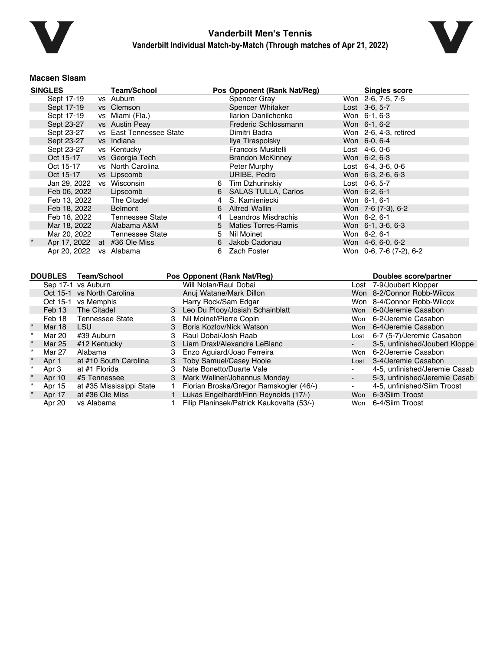



#### **Macsen Sisam**

| <b>SINGLES</b>               | <b>Team/School</b>      |   | Pos Opponent (Rank Nat/Reg) | <b>Singles score</b>       |
|------------------------------|-------------------------|---|-----------------------------|----------------------------|
| Sept 17-19                   | vs Auburn               |   | Spencer Gray                | Won 2-6, 7-5, 7-5          |
| Sept 17-19                   | vs Clemson              |   | Spencer Whitaker            | Lost 3-6, 5-7              |
| Sept 17-19                   | vs Miami (Fla.)         |   | Ilarion Danilchenko         | Won 6-1, 6-3               |
| Sept 23-27                   | vs Austin Peay          |   | Frederic Schlossmann        | Won 6-1, 6-2               |
| Sept 23-27                   | vs East Tennessee State |   | Dimitri Badra               | Won 2-6, 4-3, retired      |
| Sept 23-27                   | vs Indiana              |   | Ilya Tiraspolsky            | Won 6-0, 6-4               |
| Sept 23-27                   | vs Kentucky             |   | Francois Musitelli          | Lost 4-6, 0-6              |
| Oct 15-17                    | vs Georgia Tech         |   | <b>Brandon McKinney</b>     | Won 6-2, 6-3               |
| Oct 15-17                    | vs North Carolina       |   | Peter Murphy                | Lost $6-4$ , $3-6$ , $0-6$ |
| Oct 15-17                    | vs Lipscomb             |   | URIBE, Pedro                | Won 6-3, 2-6, 6-3          |
| Jan 29, 2022 vs Wisconsin    |                         | 6 | Tim Dzhurinskiy             | Lost 0-6, 5-7              |
| Feb 06, 2022                 | Lipscomb                | 6 | <b>SALAS TULLA, Carlos</b>  | Won 6-2, 6-1               |
| Feb 13, 2022                 | The Citadel             | 4 | S. Kamieniecki              | Won 6-1, 6-1               |
| Feb 18, 2022                 | Belmont                 | 6 | Alfred Wallin               | Won 7-6 (7-3), 6-2         |
| Feb 18, 2022                 | Tennessee State         | 4 | Leandros Misdrachis         | Won 6-2, 6-1               |
| Mar 18, 2022                 | Alabama A&M             |   | 5 Maties Torres-Ramis       | Won 6-1, 3-6, 6-3          |
| Mar 20, 2022                 | Tennessee State         | 5 | Nil Moinet                  | Won 6-2, 6-1               |
| Apr 17, 2022 at #36 Ole Miss |                         | 6 | Jakob Cadonau               | Won 4-6, 6-0, 6-2          |
| Apr 20, 2022                 | vs Alabama              | 6 | Zach Foster                 | Won 0-6, 7-6 (7-2), 6-2    |

| <b>DOUBLES</b> | <b>Team/School</b>         |   | Pos Opponent (Rank Nat/Reg)               |                | Doubles score/partner          |
|----------------|----------------------------|---|-------------------------------------------|----------------|--------------------------------|
|                | Sep 17-1 vs Auburn         |   | Will Nolan/Raul Dobai                     |                | Lost 7-9/Joubert Klopper       |
|                | Oct 15-1 vs North Carolina |   | Anuj Watane/Mark Dillon                   |                | Won 8-2/Connor Robb-Wilcox     |
| Oct 15-1       | vs Memphis                 |   | Harry Rock/Sam Edgar                      |                | Won 8-4/Connor Robb-Wilcox     |
| Feb 13         | The Citadel                | 3 | Leo Du Plooy/Josiah Schainblatt           |                | Won 6-0/Jeremie Casabon        |
| Feb 18         | Tennessee State            | 3 | Nil Moinet/Pierre Copin                   |                | Won 6-2/Jeremie Casabon        |
| Mar 18         | <b>LSU</b>                 | 3 | Boris Kozlov/Nick Watson                  |                | Won 6-4/Jeremie Casabon        |
| Mar 20         | #39 Auburn                 |   | Raul Dobai/Josh Raab                      | Lost           | 6-7 (5-7)/Jeremie Casabon      |
| Mar 25         | #12 Kentucky               | 3 | Liam Draxl/Alexandre LeBlanc              |                | 3-5, unfinished/Joubert Kloppe |
| Mar 27         | Alabama                    | 3 | Enzo Aquiard/Joao Ferreira                | Won            | 6-2/Jeremie Casabon            |
| Apr 1          | at #10 South Carolina      |   | 3 Toby Samuel/Casey Hoole                 |                | Lost 3-4/Jeremie Casabon       |
| Apr 3          | at #1 Florida              | 3 | Nate Bonetto/Duarte Vale                  |                | 4-5, unfinished/Jeremie Casab  |
| Apr 10         | #5 Tennessee               | 3 | Mark Wallner/Johannus Monday              |                | 5-3, unfinished/Jeremie Casab  |
| Apr 15         | at #35 Mississippi State   |   | Florian Broska/Gregor Ramskogler (46/-)   | $\blacksquare$ | 4-5, unfinished/Siim Troost    |
| Apr 17         | at #36 Ole Miss            |   | Lukas Engelhardt/Finn Reynolds (17/-)     |                | Won 6-3/Siim Troost            |
| Apr 20         | vs Alabama                 |   | Filip Planinsek/Patrick Kaukovalta (53/-) | Won            | 6-4/Siim Troost                |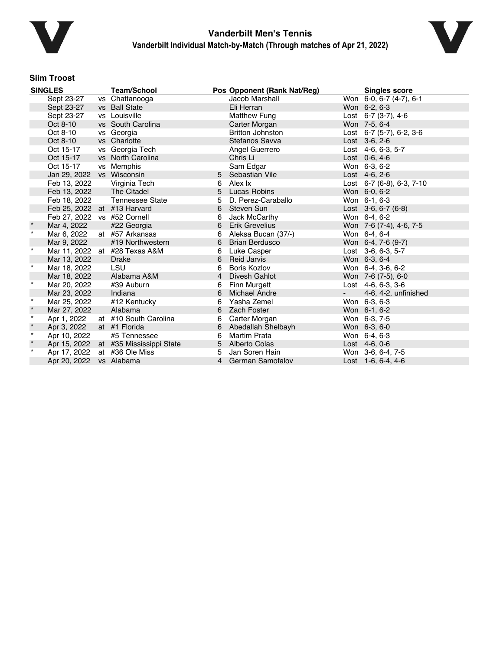



### **Siim Troost**

| <b>SINGLES</b> |                             | <b>Team/School</b>                    |   | Pos Opponent (Rank Nat/Reg) |                 | <b>Singles score</b>            |
|----------------|-----------------------------|---------------------------------------|---|-----------------------------|-----------------|---------------------------------|
|                | Sept 23-27                  | vs Chattanooga                        |   | Jacob Marshall              |                 | Won 6-0, 6-7 (4-7), 6-1         |
|                | Sept 23-27                  | vs Ball State                         |   | Eli Herran                  |                 | Won 6-2, 6-3                    |
|                | Sept 23-27                  | vs Louisville                         |   | Matthew Fung                |                 | Lost $6-7$ (3-7), 4-6           |
|                | Oct 8-10                    | vs South Carolina                     |   | Carter Morgan               |                 | Won 7-5, 6-4                    |
|                | Oct 8-10                    | vs Georgia                            |   | <b>Britton Johnston</b>     |                 | Lost $6-7$ (5-7), $6-2$ , $3-6$ |
|                | Oct 8-10                    | vs Charlotte                          |   | Stefanos Savva              |                 | Lost 3-6, 2-6                   |
|                | Oct 15-17                   | vs Georgia Tech                       |   | Angel Guerrero              |                 | Lost 4-6, 6-3, 5-7              |
|                | Oct 15-17                   | vs North Carolina                     |   | Chris Li                    |                 | Lost 0-6, 4-6                   |
|                | Oct 15-17                   | vs Memphis                            |   | Sam Edgar                   |                 | Won 6-3, 6-2                    |
|                | Jan 29, 2022 vs Wisconsin   |                                       |   | 5 Sebastian Vile            |                 | Lost 4-6, 2-6                   |
|                | Feb 13, 2022                | Virginia Tech                         | 6 | Alex Ix                     |                 | Lost 6-7 (6-8), 6-3, 7-10       |
|                | Feb 13, 2022                | The Citadel                           | 5 | <b>Lucas Robins</b>         |                 | Won 6-0, 6-2                    |
|                | Feb 18, 2022                | Tennessee State                       | 5 | D. Perez-Caraballo          |                 | Won 6-1, 6-3                    |
|                | Feb 25, 2022 at #13 Harvard |                                       | 6 | Steven Sun                  |                 | Lost $3-6, 6-7$ (6-8)           |
|                | Feb 27, 2022 vs #52 Cornell |                                       | 6 | Jack McCarthy               |                 | Won 6-4, 6-2                    |
| $\star$        | Mar 4, 2022                 | #22 Georgia                           | 6 | Erik Grevelius              |                 | Won 7-6 (7-4), 4-6, 7-5         |
| $\star$        | Mar 6, 2022                 | at #57 Arkansas                       | 6 | Aleksa Bucan (37/-)         |                 | Won 6-4, 6-4                    |
|                | Mar 9, 2022                 | #19 Northwestern                      | 6 | <b>Brian Berdusco</b>       |                 | Won 6-4, 7-6 (9-7)              |
| $\star$        | Mar 11, 2022                | at #28 Texas A&M                      | 6 | Luke Casper                 |                 | Lost 3-6, 6-3, 5-7              |
|                | Mar 13, 2022                | Drake                                 | 6 | <b>Reid Jarvis</b>          |                 | Won 6-3, 6-4                    |
| $\star$        | Mar 18, 2022                | <b>LSU</b>                            | 6 | Boris Kozlov                |                 | Won 6-4, 3-6, 6-2               |
|                | Mar 18, 2022                | Alabama A&M                           | 4 | Divesh Gahlot               |                 | Won 7-6 (7-5), 6-0              |
| $^\star$       | Mar 20, 2022                | #39 Auburn                            | 6 | Finn Murgett                |                 | Lost $4-6, 6-3, 3-6$            |
|                | Mar 23, 2022                | Indiana                               | 6 | <b>Michael Andre</b>        | $\sim$ 10 $\pm$ | 4-6, 4-2, unfinished            |
| $\star$        | Mar 25, 2022                | #12 Kentucky                          | 6 | Yasha Zemel                 |                 | Won 6-3, 6-3                    |
| $\star$        | Mar 27, 2022                | Alabama                               | 6 | <b>Zach Foster</b>          |                 | Won 6-1, 6-2                    |
| $\star$        | Apr 1, 2022                 | at #10 South Carolina                 | 6 | Carter Morgan               |                 | Won 6-3, 7-5                    |
| $\star$        | Apr 3, 2022                 | at #1 Florida                         | 6 | Abedallah Shelbayh          |                 | Won 6-3, 6-0                    |
| $\star$        | Apr 10, 2022                | #5 Tennessee                          | 6 | <b>Martim Prata</b>         |                 | Won 6-4, 6-3                    |
| $\star$        |                             | Apr 15, 2022 at #35 Mississippi State |   | 5 Alberto Colas             |                 | Lost 4-6, 0-6                   |
| $\star$        | Apr 17, 2022                | at #36 Ole Miss                       | 5 | Jan Soren Hain              |                 | Won 3-6, 6-4, 7-5               |
|                | Apr 20, 2022                | vs Alabama                            |   | 4 German Samofalov          |                 | Lost 1-6, 6-4, 4-6              |